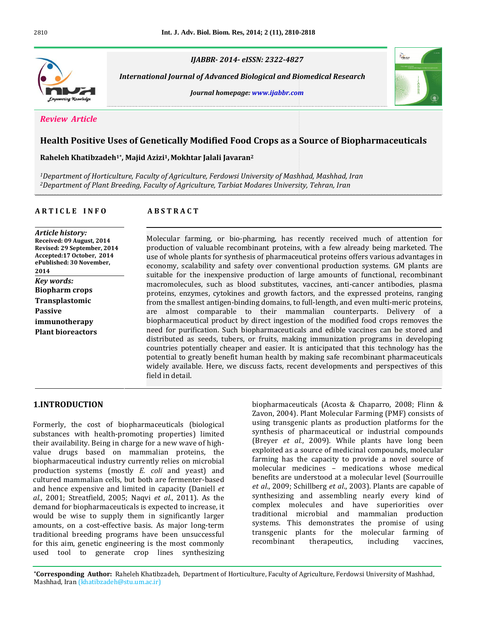

 *Journal of Advanced Biological and Biomedical Research homepage: www.ijabbr.com*



## **Positive Uses of Genetically Modified Food Crops as <sup>a</sup> Source of Biopharmaceuticals Khatibzadeh1\* Majid Azizi1, Mokhtar Jalali Javaran<sup>2</sup>**

*1DepartmentRaheleh Kh* 

use

*International*

**A <sup>R</sup> <sup>T</sup> <sup>I</sup> <sup>C</sup> <sup>L</sup> <sup>E</sup> <sup>I</sup> <sup>N</sup> <sup>F</sup> <sup>O</sup> <sup>A</sup> <sup>B</sup> <sup>S</sup> <sup>T</sup> <sup>R</sup> <sup>A</sup> <sup>C</sup> <sup>T</sup>** *of Horticulture, Faculty of Agriculture, Ferdowsi University of Mashhad, Mashhad, Iran of Plant Breeding, Faculty of Agriculture, Tarbiat Modares University, Tehran, Iran*

# *Article history:*

**Revised:**

### **ARSTRACT**

 **<sup>09</sup> August, <sup>2014</sup> history:**<br>: 09 August, 2014<br>29 September, 2014 **Article history:** *tory:*<br>August, 2014<br>Geptember, 2014<br>October. 2014 **Received:** 0 Received: 09 August, 2014<br>Revised: 29 September, 2014<br>Accepted:17 October, 2014<br>ePublished: 30 November. Accepted:17 October. 2014 *eca: 25 septem*<br>*pted:17 Octob*<br>lished: 30 Nov<br>*words:* ePublished: 30 November,<br>2014<br>*Key words:*<br>Biopharm crops **2014 Kev** words: **Biopharm** crops **Transplastomic**<br>Passive **immunotherapy**<br>Plant bioreactors

 (Acosta & Chaparro, 2008; Flinn & farming, or bio-pharming, has recently received much of attention for Forming, or bio-pharming, has recently received much of attention for<br>of valuable recombinant proteins, with a few already being marketed. The ecular farming, or bio-pharming, has recently received much of attention for duction of valuable recombinant proteins, with a few already being marketed. The of whole plants for synthesis of pharmaceutical proteins offers Molecular farming, or bio-pharming, has recently received much of attention for<br>1 of valuable recombinant proteins, with a few already being marketed. The<br>1e plants for synthesis of pharmaceutical proteins offers various advantages product for the inexpendent proteins, with a few already being marketed. The inexpendent proteins of pharmaceutical proteins offers various advantages in a scalability and safety over conventional production systems. GM plants are use of whole plants for synthesis of pharmaceutical proteins offers various advantages in is for synthesis of pharmaceutical proteins offers various advantages in<br>ity and safety over conventional production systems. GM plants are<br>nexpensive production of large amounts of functional, recombinant<br>such as blood su economy, scalability and safety over conventional production systems. GM plants are<br>suitable for the inexpensive production of large amounts of functional, recombinant<br>macromolecules, such as blood substitutes, vaccines, a suitable for the inexpensive production of large amounts of functional, recombinant suitable for the inexpensive production of large amounts of functional, recombinant macromolecules, such as blood substitutes, vaccines, anti-cancer antibodies, plasma proteins, enzymes, cytokines and growth factors, and t by a modecules, such as blood substitutes, vaccines, anti-cancer antibodies, plasma<br>ins, enzymes, cytokines and growth factors, and the expressed proteins, ranging<br>the smallest antigen-binding domains, to full-length, and proteins, enzymes, cytokines and growth factors, and the expressed proteins, ranging<br>from the smallest antigen-binding domains, to full-length, and even multi-meric proteins,<br>are almost comparable to their mammalian counte from the smallest antigen-binding domains, to full-length, and even multi-meric proteins, for smallest antigen-binding domains, to full-length, and even multi-meric proteins,<br>almost comparable to their mammalian counterparts. Delivery of a<br>armaceutical product by direct ingestion of the modified food crops remo are almos t comparable to their mammalian counterparts. Delivery of a<br>eutical product by direct ingestion of the modified food crops removes the<br>rification. Such biopharmaceuticals and edible vaccines can be stored and<br>as seeds, tub biopharmaceutical product by direct ingestion of the modified food crops removes the aceutical product by direct ingestion of the modified food crops removes the<br>purification. Such biopharmaceuticals and edible vaccines can be stored and<br>d as seeds, tubers, or fruits, making immunization programs in develo need for purification. Such biopharmaceuticals and edible vaccines can be stored and<br>distributed as seeds, tubers, or fruits, making immunization programs in developing<br>countries potentially cheaper and easier. It is antic distributed as seeds, tubers, or fruits, making immunization programs in developing<br>countries potentially cheaper and easier. It is anticipated that this technology has the<br>potential to greatly benefit human health by maki countries potent<br>potential to grea<br>widely available.<br>field in detail.

Zavon,

### 1.INTRODUCTION

for this aim, genetic engineering is the most commonly used tool to generate crop lines synthesizing **UCTION**<br>the cost of biopharmaceuticals (biological with health-promoting properties) limited Formerly, the cost of biopharmaceuticals (biological<br>substances with health-promoting properties) limited<br>their availability. Being in charge for a new wave of highly, the cost of biopharmaceuticals (biological<br>ces with health-promoting properties) limited<br>ailability. Being in charge for a new wave of high-<br>drugs based on mammalian proteins, the substances with health-promoting properties) limited industry endepth-promoting properties) limited<br>the single in charge for a new wave of high-<br>ed on mammalian proteins, the<br>industry currently relies on microbial their availability. Being in charge for a new wave of high-<br>value drugs based on mammalian proteins, the e<br>biopharmaceutical industry currently relies on microbial f<sup>f</sup><br>production systems (mostly *E. coli* and yeast) and <sup></sup> value drugs based on mammalian proteins, the rugs based on mammalian proteins, the care industry currently relies on microbial fast are fermenter-based in the mammalian cells, but both are fermenter-based by the mammalian cells, but both are fermenter-based biopharmaceutical industry currently relies on microbial<br>production systems (mostly *E. coli* and yeast) and<br>cultured mammalian cells, but both are fermenter-based<br>and hence expensive and limited in capacity (Daniell *et* production systems (mostly *E. coli* and yeast) and duction systems (mostly *E. coli* and yeast) and<br>ured mammalian cells, but both are fermenter-based<br>hence expensive and limited in capacity (Daniell *et*<br>2001: Streatfield, 2005: Nagvi *et al.*, 2011). As the cultured mammalian cells, but both are fermenter-based mammalian cells, but both are fermenter-based<br>ce expensive and limited in capacity (Daniell *et*<br>; Streatfield, 2005; Naqvi *et al.*, 2011). As the<br>for biopharmaceuticals is expected to increase, it and hence expensive and limited in capacity (Daniell *et al.*, 2001; Streatfield, 2005; Naqvi *et al.*, 2011). As the demand for biopharmaceuticals is expected to increase, it would be wise to supply them in significantly al., 2001; Streatfield, 2005; Naqvi *et al.*, 2011). As the synth-<br>demand for biopharmaceuticals is expected to increase, it compl<br>would be wise to supply them in significantly larger tradit<br>amounts, on a cost-effective ba demand for biopharmaceuticals is expected to increase, it biopharmaceuticals is expected to increase, it<br>wise to supply them in significantly larger<br>n a cost-effective basis. As major long-term<br>breeding programs have been unsuccessful would be wise to supply them in significantly larger Id be wise to supply them in significantly larger<br>punts, on a cost-effective basis. As major long-term<br>litional breeding programs have been unsuccessful<br>this aim, genetic engineering is the most commonly amounts, on a cost-effective basis. As major long-term<br>traditional breeding programs have been unsuccessful<br>for this aim, genetic engineering is the most commonly<br>used tool to generate crop lines synthesizing

were the control of the conservance that the consecutional consecutions of the consists of the consists of the consists of the consists of  $\alpha$ armaceuticals (Acosta & Chaparro, 2008; Flinn &<br>, 2004). Plant Molecular Farming (PMF) consists of<br>transgenic plants as production platforms for the biopharm ceuticals (Acosta & Chaparro, 2008; Flinn &<br>14). Plant Molecular Farming (PMF) consists of<br>sgenic plants as production platforms for the<br>of pharmaceutical or industrial compounds Zavon, 2004). Plant Molecular Farming (PMF) consists of **Pale.** Plant Molecular Farming (PMF) consists of msgenic plants as production platforms for the of pharmaceutical or industrial compounds *et al.*, 2009). While plants have long been using tra is a solution platforms for the<br>of pharmaceutical or industrial compounds<br>et al., 2009). While plants have long been<br>as a source of medicinal compounds, molecular synthesis of pharmaceutical or industrial compounds is of pharmaceutical or industrial compounds<br>et al., 2009). While plants have long been<br>las a source of medicinal compounds, molecular<br>has the capacity to provide a novel source of (Brever  $\epsilon$ al., 2009). While plants have long been<br>a source of medicinal compounds, molecular<br>s the capacity to provide a novel source of<br>medicines - medications whose medical exploited as a source of medicinal compounds, molecular d as a source of medicinal compounds, molecular<br>has the capacity to provide a novel source of<br>ir medicines - medications whose medical<br>are understood at a molecular level (Sourrouille farming has the capacity to provide a novel source of molecular medicines – medications whose medical benefits are understood at a molecular level (Sourrouille *et al.*, 2009: Schillberg *et al.*, 2003). Plants are capable molecular medicines – medications whose medical<br>benefits are understood at a molecular level (Sourrouille<br>*et al.*, 2009; Schillberg *et al.*, 2003). Plants are capable of<br>synthesizing and assembling nearly every kind of benefits are understood at a molecular level (Sourrouille e understood at a molecular level (Sourrouille<br>
; Schillberg *et al.*, 2003). Plants are capable of<br>
ig and assembling nearly every kind of<br>
molecules and have superiorities over *et al.*, 2009; Schillberg *et al.*, 2003). Plants are capable of synthesizing and assembling nearly every kind of complex molecules and have superiorities over traditional microbial and mammalian production synthesizing and assembling nearly every kind of ng and assembling nearly every kind of<br>molecules and have superiorities over<br>microbial and mammalian production<br>This demonstrates the promise of using complex molecules and have superiorities over plecules and have superiorities over<br>microbial and mammalian production<br>is demonstrates the promise of using<br>plants for the molecular farming of traditional systems. This demonstrates the promise of using<br>transgenic plants for the molecular farming of<br>recombinant therapeutics, including vaccines,

**Authority Concept Concept Concept Concept Concept Concept Concept Concept Concept Concept Concept Concept Concept<br>
<b>Authoric Raheleh Khatibzadeh**, Department of Horticulture, Faculty of Agriculture, Ferdowsi University of or to generate crop mes<br> **Iran (khatibzadeh@stu.um.ac.ir)**<br>
Iran (khatibzadeh@stu.um.ac.ir)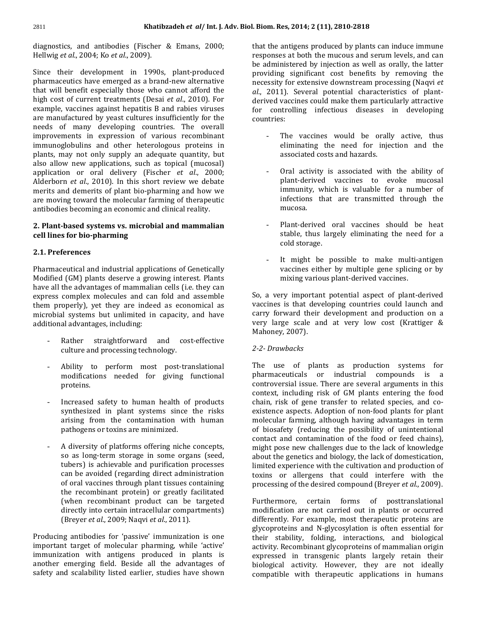Khatibzadeh *et al* / Int. J. Adv.<br>and antibodies (Fischer & Emans, 2000; **khatil**<br>diagnostics, and antibodies (Fischer<br>Hellwig *et al.*, 2004: Ko *et al.*, 2009). tics, and antibodies (Fischer & Emans, 2000;<br> *t et al.*, 2004; Ko *et al.*, 2009).<br>
their development in 1990s. plant-produced re Hellwig et al., 2004; Ko et al., 2009).

004; Ko *et al.*, 2009).<br>evelopment in 1990s, plant-produced<br>have emerged as a brand-new alternative where their development in 1990s, plant-produced<br>maceutics have emerged as a brand-new alternative<br>will benefit especially those who cannot afford the Since their development in 1990s, plant-produced<br>pharmaceutics have emerged as a brand-new alternative<br>that will benefit especially those who cannot afford the<br>high cost of current treatments (Desai *et al.*, 2010). For pharmaceutics have emerged as a brand-new alternative utics have emerged as a brand-new alternative<br>benefit especially those who cannot afford the<br>of current treatments (Desai *et al.*, 2010). For<br>vaccines against hepatitis B and rabies viruses tha will benefit especially those who cannot afford the<br>  $\alpha$  cost of current treatments (Desai *et al.*, 2010). For<br>
mple, vaccines against hepatitis B and rabies viruses<br>
manufactured by veast cultures insufficiently for th high cost of current treatments (Desai *et al.*, 2010). For<br>example, vaccines against hepatitis B and rabies viruses<br>are manufactured by yeast cultures insufficiently for the<br>needs of many developing countries. The overall example, vaccines against hepatitis B and rabies viruses es against hepatitis B and rabies viruses<br>ed by yeast cultures insufficiently for the<br>y developing countries. The overall<br>in expression of various recombinant are manufactured by yeast cultures insufficiently for the by yeast cultures insufficiently for the<br>developing countries. The overall<br>expression of various recombinant<br>and other heterologous proteins in needs of many developing countries. The overall of many developing countries. The overall<br>ements in expression of various recombinant<br>oglobulins and other heterologous proteins in<br>may not only supply an adequate quantity, but imp ovements in expression of various recombinant<br>unoglobulins and other heterologous proteins in<br>s, may not only supply an adequate quantity, but<br>allow new applications, such as topical (mucosal) immunoglo oral deliver the interplogous proteins in mot only supply an adequate quantity, but<br>ew applications, such as topical (mucosal)<br>or oral delivery (Fischer *et al.*, 2000; plants, may not only supply an adequate quantity, but *eta* **a** *equate quantity, but* new applications, such as topical (mucosal) or oral delivery (Fischer *et al.*, 2000; *et al.*, 2010). In this short review we debate also allow new applications, such as topical (mucosal)<br>application or oral delivery (Fischer *et al.*, 2000;<br>Alderborn *et al.*, 2010). In this short review we debate<br>merits and demerits of plant bio-pharming and how we application or oral delivery (Fischer et al., 2000; lication or oral delivery (Fischer *et al.*, 2000;<br>erborn *et al.*, 2010). In this short review we debate<br>its and demerits of plant bio-pharming and how we<br>moving toward the molecular farming of therapeutic Alderborn merits and demerits of plant bio-pharming and how we are moving toward the molecular farming of therapeutic **Plant-based systems vs. microbial and mammalian**

## antibodies becoming an economic and<br>**2. Plant-based systems vs. microbi<br>cell lines for bio-pharming** 2. Plant-based systems vs. microbial and mammalian l<mark>ant-based systems</mark><br>lines for bio-pharm<br>Preferences Pharmaceutical control of the control of the control of the control of the control of the control of the control of the control of the control of the control of the control of the control of the control of the control of t

#### 2.1. Preferences

s<br>s<br>and industrial applications of Genetically erences<br>eutical and industrial applications of Genetically<br>(GM) plants deserve a growing interest. Plants naceutical and industrial applications of Genetically<br>fied (GM) plants deserve a growing interest. Plants<br>all the advantages of mammalian cells (i.e. they can Pharma eutical and industrial applications of Genetically<br>
1 (GM) plants deserve a growing interest. Plants<br>
the advantages of mammalian cells (i.e. they can<br>
complex molecules and can fold and assemble Modified (GM) plants deserve a growing interest. Plants<br>have all the advantages of mammalian cells (i.e. they can<br>express complex molecules and can fold and assemble<br>them properly), vet they are indeed as economical as have all the advantages of mammalian cells (i.e. they can<br>express complex molecules and can fold and assemble<br>them properly), yet they are indeed as economical as<br>microbial systems but unlimited in capacity, and have express complex molecules and can fold and assemble mplex molecules and can<br>berly), yet they are indees<br>systems but unlimited in<br>advantages, including: - The systems but unlimited in capacity, and have<br>tional advantages, including:<br>- Rather straightforward and cost-effective additional advantages, including:

- Rather straightforward and cost-effective - Rather straightforward and cost-effective<br>culture and processing technology.<br>- Ability to perform most post-translational culture and processing technology.
- needed for giving functional modifications needed for giving functional<br>proteins.<br>- Increased safety to human health of products modifications needed for giving functional proteins. arising
- fety to human health of products<br>in plant systems since the risks c<br>d safety to human health of products<br>zed in plant systems since the risks be<br>from the contamination with human b Increased safety to human health of<br>d in plant systems since<br>om the contamination wir<br>or toxins are minimized. - A diversity of platforms offering niche concepts,<br>A diversity of platforms offering niche concepts,
- pathogens or toxins are minimized.<br>A diversity of platforms offering niche concepts,<br>so as long-term storage in some organs (seed. ity of platforms offering niche concepts,<br>ng-term storage in some organs (seed,<br>is achievable and purification processes A diversity of platforms offering niche concepts,<br>so as long-term storage in some organs (seed,<br>tubers) is achievable and purification processes<br>can be avoided (regarding direct administration so as long-term storage in some organs (seed, as long-term storage in some organs (seed,<br>pers) is achievable and purification processes<br>n be avoided (regarding direct administration<br>oral vaccines through plant tissues containing tubers) is achievable and purification processes recombinant protein) is achievable and purification processes<br>be avoided (regarding direct administration the transformal vaccines through plant tissues containing precombinant protein) or greatly facilitated can be avoided (regarding direct administration<br>of oral vaccines through plant tissues containing<br>the recombinant protein) or greatly facilitated<br>(when recombinant product can be targeted of oral vaccines through plant tissues containing accines through plant tissues containing<br>into motion of greatly facilitated<br>recombinant product can be targeted<br>into certain intracellular compartments) the recombinant protein) or greatly facilitated *the recombinant protein) or greatly faci*<br> *(when recombinant product can be ta directly into certain intracellular comparti*<br> *(Brever et al., 2009: Nagvi et al., 2011).* directly into certain intracellular compartments) (Breyer et al., 2009; Naqvi et al., 2011).

(Breyer *et al.*, 2009; Naqvi *et al.*, 2011).<br>Producing antibodies for 'passive' immunization is one<br>important target of molecular pharming, while 'active' bodies for 'passive' immunization is one<br>et of molecular pharming, while 'active'<br>with antigens produced in plants is Producing antibodies for 'passive' immunization is one<br>important target of molecular pharming, while 'active'<br>immunization with antigens produced in plants is<br>another emerging field. Beside all the advantages of important target of molecular pharming, while 'active' immunization with antigens produced in plants is expressed in transgenic plants largely retain their<br>another emerging field. Beside all the advantages of biological activity. However, they are not ideally<br>safety and scalab

m. Res, 2014; 2 (11), 2810-2818<br>the antigens produced by plants can induce immune , 2014; 2 (11), 2810-2818<br>tigens produced by plants can induce immune<br>at both the mucous and serum levels, and can t the antigens produced by plants can induce immune<br>ponses at both the mucous and serum levels, and can<br>administered by injection as well as orally, the latter that the antigens produced by plants can induce immune<br>responses at both the mucous and serum levels, and can<br>be administered by injection as well as orally, the latter<br>providing significant cost benefits by removing the responses at both the mucous and serum levels, and can for extend by injection as well as orally, the latter significant cost benefits by removing the for extensive downstream processing (Naqvi *et*) be administered by injection as well as orally, the latter be administered by injection as well as orally, the latter<br>providing significant cost benefits by removing the<br>necessity for extensive downstream processing (Naqvi *et*<br>*al.*, 2011). Several potential characteristics of pl is experificant cost benefits by removing the<br>y for extensive downstream processing (Naqvi *et*<br>1). Several potential characteristics of plant-<br>vaccines could make them particularly attractive necessity for extensive downstream processing (Naqvi et controlling isoty for extensive downstream processing (Naqvi *et* 011). Several potential characteristics of planted vaccines could make them particularly attractive controlling infectious diseases in developing  $al., 2011$ derived vaccines could make them particularly attractive<br>for controlling infectious diseases in developing countries:

- the would be orally active, thus<br>the need for injection and the nes would be oral<br>the need for injon<br>costs.and.hazards. eliminating the need for injection and the<br>associated costs and hazards.<br>- Oral activity is associated with the ability of eliminating the need for injection and the associated costs and hazards. immunity,
- and hazards.<br>associated with the ability of<br>vaccines to evoke mucosal ty is associated with the ability of<br>ed vaccines to evoke mucosal<br>which is valuable for a number of Oral activ immunity, which is valuable for a number of plant-derived vaccines to evoke mucosal infections that are transmitted through the mucosa.<br>Plant-derived oral vaccines should be heat mucosa.
- .<br>erived oral vaccines should be heat<br>thus largely eliminating the need for a t-derived<br>e, thus lar<sub>i</sub><br>storage. stable, thus largely eliminating the need for a<br>cold storage.<br>It might be possible to make multi-antigen cold storage.
- It might be possible to make multi-antigen - It might be possible to make multi-a<br>vaccines either by multiple gene splicing<br>mixing various plant-derived vaccines. vaccines either by multiple gene splicing or by<br>mixing various plant-derived vaccines.<br>a very important potential aspect of plant-derived

nixing various plant-derived vaccines.<br>
y important potential aspect of plant-derived<br>
is that developing countries could launch and Forward in the set of plant-derived<br>forward their developing countries could launch and<br>forward their development and production on a So, a very important potential aspect of plant-derived<br>vaccines is that developing countries could launch and<br>carry forward their development and production on a<br>very large scale and at very low cost (Krattiger & vaccines is that developing countries could launch and carry forward their development and production on a very large scale and at very low cost (Krattiger & Mahoney, 2007).

### 2-2- Drawbacks

nanoncy, 2007).<br>2-2- Drawbacks<br>The use of plants as production systems for  $\begin{array}{lllllllll} \text{ints} & \text{as} & \text{production} & \text{systems} & \text{for} \ \text{or} & \text{industrial} & \text{compounds} & \text{is} & \text{a} \end{array}$ i plants as production systems for<br>als or industrial compounds is a<br>issue. There are several arguments in this e of plants as production systems for<br>euticals or industrial compounds is a<br>rsial issue. There are several arguments in this<br>including risk of GM plants entering the food pharmaceuticals or industrial compounds is a<br>controversial issue. There are several arguments in this<br>context, including risk of GM plants entering the food<br>chain, risk of gene transfer to related species, and co- $\frac{1}{100}$  issue. There are several arguments in this ncluding risk of GM plants entering the food  $\kappa$  of gene transfer to related species, and co-aspects. Adoption of non-food plants for plant context, ii cluding risk of GM plants entering the food<br>of gene transfer to related species, and co-<br>spects. Adoption of non-food plants for plant<br>farming, although having advantages in term chain, risk of gene transfer to related species, and coin, risk of gene transfer to related species, and co-<br>stence aspects. Adoption of non-food plants for plant<br>lecular farming, although having advantages in term<br>biosafety (reducing the possibility of unintentional existen existence aspects. Adoption of non-food plants for plant<br>molecular farming, although having advantages in term<br>of biosafety (reducing the possibility of unintentional<br>contact and contamination of the food or feed chains). national pose in term<br>safety (reducing the possibility of unintentional<br>t and contamination of the food or feed chains),<br>pose new challenges due to the lack of knowledge of biosafety (reducing the possibility of unintentional of biosafety (reducing the possibility of unintentional contact and contamination of the food or feed chains), might pose new challenges due to the lack of domestication. and contamination of the food or feed chains),<br>ose new challenges due to the lack of knowledge<br>ne genetics and biology, the lack of domestication,<br>experience with the cultivation and production of might pose new challenges due to the lack of knowledge<br>about the genetics and biology, the lack of domestication,<br>limited experience with the cultivation and production of<br>toxins or allergens that could interfere with the about the genetics and biology, the lack of domestication, about the genetics and biology, the lack of domestication,<br>limited experience with the cultivation and production of<br>toxins or allergens that could interfere with the<br>processing of the desired compound (Brever *et al.*, 20 rgens that could interfere with the<br>explored compound (Breyer *et al.*, 2009).<br>certain forms of posttranslational nrocessing o  $\overline{a}$ 

the desired compound (Breyer *et al.*, 2009).<br>
certain forms of posttranslational<br>
are not carried out in plants or occurred Example, the certain forms of posttranslational<br>For example, most therapeutic proteins are Furthermore, certain forms of posttranslational<br>modification are not carried out in plants or occurred<br>differently. For example, most therapeutic proteins are<br>glycoproteins and N-glycosylation is often essential for modification are not carried out in plants or occurred cation are not carried out in plants or occurred<br>ntly. For example, most therapeutic proteins are<br>roteins and N-glycosylation is often essential for<br>stability. folding. interactions, and biological differently. For example, most therapeutic proteins are ly. For example, most therapeutic proteins are<br>teins and N-glycosylation is often essential for<br>ability, folding, interactions, and biological<br>Recombinant glycoproteins of mammalian origin glycoprote in transgenicular is often essential for<br>ity, folding, interactions, and biological<br>ombinant glycoproteins of mammalian origin<br>in transgenic plants largely retain their their sta lity, folding, interactions, and biological<br>combinant\_glycoproteins\_of\_mammalian\_origin<br>in\_transgenic\_plants\_largely\_retain\_their<br>activity.\_However,\_they\_are\_not\_ideally activity. Recombinant glycoproteins of mammalian origin mbinant glycoproteins of mammalian origin<br>n transgenic plants largely retain their<br>ctivity. However, they are not ideally<br>with therapeutic applications in humans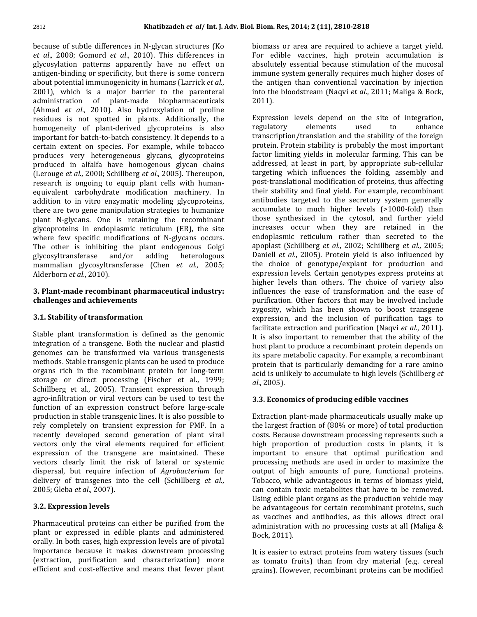Khatibzadeh *et al* / Int. J. Adv. Biol.<br>of subtle differences in N-glycan structures (Ko **Khatibzadeh** *et al***/ Int. J. Adv. Biol.**<br>
<sup>2</sup> ause of subtle differences in N-glycan structures (Ko b<br> *al.*, 2008: Gomord *et al.*, 2010). This differences in patte differences in N-glycan structures (Kongletical computation of the sension of the patterns apparently have no effect on the manner of the manner of the manner of the manner of the manner of the manner of the manner o because of subt e differences in N-glycan structures (Ko b<br>mord *et al.*, 2010). This differences in F<br>atterns apparently have no effect on a<br>or specificity, but there is some concern in et al., et al., 2008; Gomord et al., 2010). This differences in glycosylation patterns apparently have no effect on antigen-binding or specificity, but there is some concernabout potential immunogenicity in humans (Larrick *et al.* ation patterns apparently have no effect on<br>binding or specificity, but there is some concern<br>bential immunogenicity in humans (Larrick *et al.*,<br>which is a major barrier to the parenteral antigen-binding or specificity, but there is some concern<br>about potential immunogenicity in humans (Larrick *et al.*,<br>2001), which is a major barrier to the parenteral<br>administration of plant-made biopharmaceuticals about potential immunogenicity in humans (Larrick et al., ential immunogenicity in humans (Larrick *et al.*, *chich* is a major barrier to the parenteral ation of plant-made biopharmaceuticals *et al.*, 2010). Also hydroxylation of proline  $2001$ ),  $\sqrt{ }$ hich is a major barrier to the parenteral<br>ation of plant-made biopharmaceuticals<br>*ist al.*, 2010). Also hydroxylation of proline<br>is not spotted in plants. Additionally, the administration of plant-made biopharmaceuticals of plant-made biopharmaceuticals<br>
5 (1910). Also hydroxylation of proline<br>
1910 of spotted in plants. Additionally, the<br>
1910 of plant-derived glycoproteins is also  $(Ahmad \theta)$ *t al.*, 2010). Also hydroxylation of proline<br>s not spotted in plants. Additionally, the<br>ity of plant-derived glycoproteins is also<br>for batch-to-batch consistency. It depends to a residues is not spotted in plants. Additionally, the is not spotted in plants. Additionally, the<br>meity of plant-derived glycoproteins is also <br>nt for batch-to-batch consistency. It depends to a<br>extent on species. For example, while tobacco homogeneity of plant-derived glycoproteins is also<br>important for batch-to-batch consistency. It depends to a<br>certain extent on species. For example, while tobacco<br>produces very heterogeneous glycans. glycoproteins important for batch-to-batch consistency. It depends to a<br>certain extent on species. For example, while tobacco<br>produces very heterogeneous glycans, glycoproteins<br>produced in alfalfa have homogenous glycan chains certain extent on species. For example, while tobacco *etalin* extent on species. For example, while tobacco produces very heterogeneous glycans, glycoproteins produced in alfalfa have homogenous glycan chains (Lerouge *et al.*, 2000; Schillberg *et al.*, 2005). Thereupon, produces very heterogeneous glycans, glycoproteins<br>produced in alfalfa have homogenous glycan chains<br>(Lerouge *et al.*, 2000; Schillberg *et al.*, 2005). Thereupon,<br>research is ongoing to equip plant cells with humani alfalfa have homogenous glycan chains<br> *al.*, 2000; Schillberg *et al.*, 2005). Thereupon, to<br>
ongoing to equip plant cells with human-<br>
carbohydrate modification machinery. In (Lerouge (Lerouge *et al.*, 2000; Schillberg *et al.*, 2005). Thereupon, research is ongoing to equip plant cells with human-<br>equivalent carbohydrate modification machinery. In addition to in vitro enzymatic modeling glycoproteins. ch is ongoing to equip plant cells with human-<br>alent carbohydrate modification machinery. In<br>on to in vitro enzymatic modeling glycoproteins,<br>are two gene manipulation strategies to humanize equivalent carbohydrate modification machinery. In<br>addition to in vitro enzymatic modeling glycoproteins,<br>there are two gene manipulation strategies to humanize<br>plant N-glycans. One is retaining the recombinant addition to in vitro enzymatic modeling glycoproteins, vitro enzymatic modeling glycoproteins,<br>gene manipulation strategies to humanize<br>ns. One is retaining the recombinant<br>in endoplasmic reticulum (ER), the site there are two gene manipulation strategies to humanize<br>plant N-glycans. One is retaining the recombinant<br>glycoproteins in endoplasmic reticulum (ER), the site<br>where few specific modifications of N-glycans occurs. N-glycans. One is retaining the recombinant<br>proteins in endoplasmic reticulum (ER), the site<br>e few specific modifications of N-glycans occurs.<br>other is inhibiting the plant endogenous Golgi glycoproteins in endoplasmic reticulum (ER), the site plasmic reticulum (ER), the site<br>odifications of N-glycans occurs.<br>ng the plant endogenous Golgi<br>and/or adding heterologous where few specific modifications of N-glycans occurs.<br>The other is inhibiting the plant endogenous Golgi<br>glycosyltransferase and/or adding heterologous<br>mammalian glycosyltransferase (Chen *et al.*, 2005; The other is inhibiting the plant endogenous Golgi The other is inhibiting<br>glycosyltransferase and<br>mammalian glycosyltrans<br>Alderborn *et al.*, 2010). **Plant-madea Edge of Chen** et al., 2005;<br>derborn et al., 2010).<br>**Plant-made recombinant pharmaceutical industry:** Alderborn et al., 2010).

## *t al.*, 2010).<br>ide recombinant pharmac<br>and achievements **3. Plant-made recombinant pharmaceut<br>challenges and achievements<br>3.1. Stability of transformation** challenges and achievements

#### 3.1. Stability of transformation genomes

plant transformation<br>plant transformation is defined as the genomic **y of transformation**<br>at transformation is defined as the genomic<br>of a transgene. Both the nuclear and plastid of transformation is defined as the genomic<br>in of a transgene. Both the nuclear and plastid<br>can be transformed via various transgenesis Stable plant transformation is defined as the genomic<br>integration of a transgene. Both the nuclear and plastid<br>genomes can be transformed via various transgenesis<br>methods. Stable transgenic plants can be used to produce integration of a transgene. Both the nuclear and plastid Fried in the recombinant protein for long-term<br>
rich in the recombinant protein for long-term<br>
rich in the recombinant protein for long-term<br>
rich in the recombinant protein for long-term<br>
rich is spaced in the recombinan genomes can be transformed via various transgenesis can be transformed via various transgenesis<br>Stable transgenic plants can be used to produce<br>ich in the recombinant protein for long-term<br>or direct processing (Fischer et al., 1999; methods. table transgenic plants can be used to produce<br>
in the recombinant protein for long-term<br>
direct processing (Fischer et al., 1999;<br>
et al., 2005). Transient expression through organs rich in the recombinant protein for long-term the recombinant protein for long-term<br>cct processing (Fischer et al., 1999;<br>, 2005). Transient expression through<br>or viral vectors can be used to test the storage or direct processing (Fischer et al., 1999;<br>Schillberg et al., 2005). Transient expression through<br>agro-infiltration or viral vectors can be used to test the<br>function of an expression construct before large-scale Schillberg et al., 2005). Transient expression through<br>agro-infiltration or viral vectors can be used to test the<br>function of an expression construct before large-scale<br>production in stable transgenic lines. It is also pos agro-infiltration or viral vectors can be used to test the<br>function of an expression construct before large-scale<br>production in stable transgenic lines. It is also possible to<br>rely completely on transient expression for PM function of an expression construct before large-scale of an expression construct before large-scale<br>n in stable transgenic lines. It is also possible to<br>pletely on transient expression for PMF. In a<br>developed second generation of plant viral produc on in stable transgenic lines. It is also possible to<br>opletely on transient expression for PMF. In a<br>developed second generation of plant viral<br>only the viral elements required for efficient rely completely on transient expression for PMF. In a tely on transient expression for PMF. In a<br>veloped second generation of plant viral<br>the viral elements required for efficient<br>of the transgene are maintained. These recently developed second generation of plant viral<br>vectors only the viral elements required for efficient<br>expression of the transgene are maintained. These<br>vectors clearly limit the risk of lateral or systemic vectors only the viral elements required for efficient but the viral elements required for efficient<br>of the transgene are maintained. These<br>early limit the risk of lateral or systemic<br>but require infection of *Agrobacterium* for expression of the transgene are maintained. These expression of the transgene are maintained. These<br>vectors clearly limit the risk of lateral or systemic<br>dispersal, but require infection of *Agrobacterium* for<br>delivery of transgenes into the cell (Schillberg *et al.*, vectors clearly limit the<br>dispersal, but require infe<br>delivery of transgenes into<br>2005: Gleba *et al.*, 2007). delivery of transgenes into the cell (Schillberg et al., 2005; Gleba et al., 2007).

### 3.2. Expression levels

**proteins** can either be purified from the data on the proteins can either be purified from the  $\frac{as}{as}$ **pression levels**<br>aceutical proteins can either be purified from the<br>or expressed in edible plants and administered •<br>aceutical proteins can either be purified from the<br>pr expressed in edible plants and administered<br>In both cases, high expression levels are of pivotal Pharmaceutical proteins can either be purified from the<br>plant or expressed in edible plants and administered<br>orally. In both cases, high expression levels are of pivotal<br>importance because it makes downstream processing plant or expressed in edible plants and administered ressed in edible plants and administered<br>i cases, high expression levels are of pivotal<br>pecause it makes downstream processing<br>purification and characterization) more orally. In importance because it makes downstream processing<br>(extraction, purification and characterization) more<br>efficient and cost-effective and means that fewer plant

di<mark>biom. Res, 2014; 2 (11), 2810-2818</mark><br>biomass or area are required to achieve a target vield. n. **Res, 2014; 2 (11), 2810-2818**<br>ass or area are required to achieve a target yield.<br>edible vaccines. high protein accumulation is area are required to achieve a target yield.<br>A vaccines, high protein accumulation is<br>essential because stimulation of the mucosal biomass or area are required to achieve a target yield.<br>ble vaccines, high protein accumulation is<br>y essential because stimulation of the mucosal<br>system generally requires much higher doses of For edible vaccines, high protein accumulation is<br>blutely essential because stimulation of the mucosal<br>une system generally requires much higher doses of<br>antigen than conventional vaccination by injection absolutely essential because stimulation of the mucosal absolutely essential because stimulation of the mucosal<br>immune system generally requires much higher doses of<br>the antigen than conventional vaccination by injection<br>into the bloodstream (Naqvi *et al.*, 2011: Maliga & Bock into the bloodstream (Naqvi *et al.*, 2011; Maliga & Bock,<br>2011).<br>Expression levels depend on the site of integration.  $\frac{1}{2}$ 

els depend on the site of integration,<br>elements used to enhance d on the site of integration,<br>used to enhance<br>and the stability of the foreign Expression levels depend on the site of integration,<br>regulatory elements used to enhance<br>transcription/translation and the stability of the foreign<br>protein. Protein stability is probably the most important regulatory limition dements wied to enhance<br>iption/translation and the stability of the foreign<br>in Protein stability is probably the most important<br>limiting vields in molecular farming. This can be transcription/translation and the stability of the foreign n/translation and the stability of the foreign<br>tein stability is probably the most important<br>ing yields in molecular farming. This can be<br>at least in part, by appropriate sub-cellular protein. Protein stability is probably the most important<br>factor limiting yields in molecular farming. This can be<br>addressed, at least in part, by appropriate sub-cellular<br>targeting which influences the folding. assembly a factor limiting vields in molecular farming. This can be lds in molecular farming. This can be<br>t in part, by appropriate sub-cellular<br>nfluences the folding, assembly and<br>modification of proteins, thus affecting addr ssed, at least in part, by appropriate sub-cellular<br>ing which influences the folding, assembly and<br>ranslational modification of proteins, thus affecting<br>stability and final yield. For example, recombinant targeting which influences the folding, assembly and which influences the folding, assembly and<br>tional modification of proteins, thus affecting<br>ty and final yield. For example, recombinant<br>targeted to the secretory system generally post-transla ional modification of proteins, thus affecting<br>y and final yield. For example, recombinant<br>argeted to the secretory system generally<br>to much higher levels (>1000-fold) than their rability and final yield. For example, recombinant<br>dies targeted to the secretory system generally<br>late to much higher levels (>1000-fold) than<br>synthesized in the cytosol, and further yield antibodies targeted to the secretory system generally targeted to the secretory system generally<br>to much higher levels (>1000-fold) than<br>hesized in the cytosol, and further yield<br>occur when they are retained in the accumulate to much higher levels (>1000-fold) than<br>those synthesized in the cytosol, and further yield<br>increases occur when they are retained in the<br>endoplasmic reticulum rather than secreted to the those synthesized in the cytosol, and further yield mthesized in the cytosol, and further yield<br>occur when they are retained in the<br>mic reticulum rather than secreted to the<br>(Schillberg *et al.*, 2002; Schillberg *et al.*, 2005; increases occur when they are retained in the<br>endoplasmic reticulum rather than secreted to the<br>apoplast (Schillberg *et al.*, 2002; Schillberg *et al.*, 2005;<br>Daniell *et al.*, 2005). Protein vield is also influenced by endoplasmic reticulum rather than secreted to the plasmic reticulum rather than secreted to the<br>last (Schillberg *et al.*, 2002; Schillberg *et al.*, 2005;<br>ell *et al.*, 2005). Protein yield is also influenced by<br>choice of genotype/explant for production and apoplast (S chillberg *et al.*, 2002; Schillberg *et al.*, 2005;<br>*il.*, 2005). Protein yield is also influenced by<br>of genotype/explant for production and<br>levels. Certain genotypes express proteins at Daniell et al., 2005). Protein vield is also influenced by *et al.*, 2005). Protein yield is also influenced by<br>pice of genotype/explant for production and<br>ion levels. Certain genotypes express proteins at<br>levels than others. The choice of variety also the choic of genotype/explant for production and<br>levels. Certain genotypes express proteins at<br>els than others. The choice of variety also<br>the ease of transformation and the ease of expression levels. Certain genotypes express proteins at explues than others. The choice of variety also<br>is than others. The choice of variety also<br>is ease of transformation and the ease of<br>Other factors that may be involved include higher levels than others. The choice of variety also<br>influences the ease of transformation and the ease of<br>purification. Other factors that may be involved include<br>zygosity, which has been shown to boost transgene influences the ease of transformation and the ease of ne ease of transformation and the ease of<br>Other factors that may be involved include<br>puch has been shown to boost transgene<br>and the inclusion of purification tags to purification. Other factors that may be involved include purification. Other factors that may be involved include zygosity, which has been shown to boost transgene expression, and the inclusion of purification tags to facilitate extraction and purification (Naqvi *et al.*, 2011) gosity, which has been shown to boost transgene<br>pression, and the inclusion of purification tags to<br>cilitate extraction and purification (Naqvi *et al.*, 2011).<br>is also important to remember that the ability of the expression, and the inclusion of purification tags to ession, and the inclusion of purification tags to<br>tate extraction and purification (Naqvi *et al.*, 2011).<br>also important to remember that the ability of the<br>plant to produce a recombinant protein depends on facilitate extraction and purification (Naqvi *et al.*, 2011).<br>It is also important to remember that the ability of the<br>host plant to produce a recombinant protein depends on<br>its spare metabolic capacity. For example, a re It is also important to remember that the ability of the o important to remember that the ability of the<br>nt to produce a recombinant protein depends on<br>emetabolic capacity. For example, a recombinant<br>that is particularly demanding for a rare amino host plant to produce a recombinant protein depends on plant to produce a recombinant protein depends on<br>pare metabolic capacity. For example, a recombinant<br>ein that is particularly demanding for a rare amino<br>is unlikely to accumulate to high levels (Schillberg *et* **definition**<br>**protein that**<br>**acid is unlike**<br>*al.*, 2005). **acid is unlikely to accumulate to high levels (Schillberg et**) al., 2005).

### 3.3. Economics of producing edible vaccines

mi<mark>cs of producing edible vaccines</mark><br>plant-made pharmaceuticals usually make up Economics of producing edible vaccines<br>raction plant-made pharmaceuticals usually make up<br>largest fraction of (80% or more) of total production tion plant-made pharmaceuticals usually make up<br>rest fraction of (80% or more) of total production<br>Because downstream processing represents such a Extr proportion plant-made pharmaceuticals usually make up<br>rgest fraction of (80% or more) of total production<br>Because downstream processing represents such a<br>proportion of production costs in plants, it is the largest fraction of (80% or more) of total production Fraction of (80% or more) of total production<br>se downstream processing represents such a<br>rtion of production costs in plants, it is<br>to ensure that optimal purification and costs. Beca se downstream processing represents such a<br>prior of production costs in plants, it is<br>to ensure that optimal purification and<br>methods are used in order to maximize the high r high proportion of production costs in plants, it is<br>important to ensure that optimal purification and<br>processing methods are used in order to maximize the<br>output of high amounts of pure, functional proteins. important to ensure that optimal purification and<br>processing methods are used in order to maximize the<br>output of high amounts of pure, functional proteins.<br>Tobacco, while advantageous in terms of biomass vield. processing methods are used in order to maximize the<br>output of high amounts of pure, functional proteins.<br>Tobacco, while advantageous in terms of biomass yield,<br>can contain toxic metabolites that have to be removed. posed is of planetary functional proteins.<br>  $\cos$ , while advantageous in terms of biomass yield,<br>  $\sin$  that in toxic metabolites that have to be removed.<br>  $\sin$  edible plant organs as the production vehicle may Tobacco, while advantageous in terms of biomass yield,<br>can contain toxic metabolites that have to be removed.<br>Using edible plant organs as the production vehicle may<br>be advantageous for certain recombinant proteins, such can contain toxic metabolites that have to be removed. contain toxic metabolites that have to be removed.<br>Ing edible plant organs as the production vehicle may<br>advantageous for certain recombinant proteins, such<br>vaccines and antibodies, as this allows direct oral Using edible plant organs as the production vehicle may<br>be advantageous for certain recombinant proteins, such<br>as vaccines and antibodies, as this allows direct oral<br>administration with no processing costs at all (Maliga & be advantageous for certain recombinant proteins, such vantageou<br>ccines and<br>istration<br>2011). administration with no processing costs at all (Maliga &<br>Bock, 2011).<br>It is easier to extract proteins from watery tissues (such Bock, 2011). grains).

 $k$ , 2011).<br>
s easier to extract proteins from watery tissues (such tomato fruits) than from dry material (e.g. cereal For to extract proteins from watery tissues (such<br>to fruits) than from dry material (e.g. cereal<br>However, recombinant proteins can be modified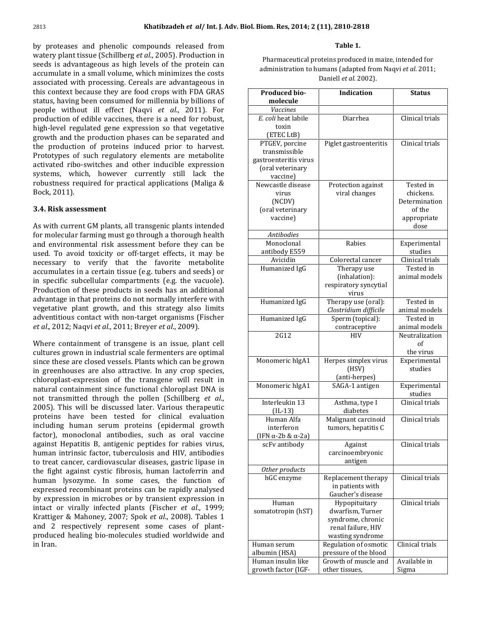Khatibzadeh *et al/ Int. J. Adv. Biol. Biom*<br>proteases and phenolic compounds released from **khatibzadeh** *et al***/ Int. J. Adv. Biol.**<br>teases and phenolic compounds released from<br>plant tissue (Schillberg *et al.*, 2005). Production in oteases and phenolic compounds released from<br>*p* plant tissue (Schillberg *et al.*, 2005). Production in<br>is advantageous as high levels of the protein can by proteas is and phenolic compounds released from<br>t tissue (Schillberg *et al.*, 2005). Production in<br>vantageous as high levels of the protein can<br>in a small volume, which minimizes the costs watery plant tissue (Schillberg *et al.*, 2005). Production in<br>seeds is advantageous as high levels of the protein can<br>accumulate in a small volume, which minimizes the costs<br>associated with processing. Cereals are advanta seeds is advantageous as high levels of the protein can<br>accumulate in a small volume, which minimizes the costs<br>associated with processing. Cereals are advantageous in<br>this context because they are food crops with FDA GRAS accumulate in a small volume, which minimizes the costs<br>associated with processing. Cereals are advantageous in<br>this context because they are food crops with FDA GRAS<br>status, having been consumed for millennia by billions associated with processing. Cereals are advantageous in ed with processing. Cereals are advantageous in<br>text because they are food crops with FDA GRAS<br>aving been consumed for millennia by billions of<br>without ill effect (Naqvi *et al.*, 2011). For this context because they are food crops with FDA GRAS<br>status, having been consumed for millennia by billions of<br>people without ill effect (Naqvi *et al.*, 2011). For<br>production of edible vaccines, there is a need for robu ing been consumed for millennia by billions of<br>thout ill effect (Naqvi *et al.*, 2011). For<br>of edible vaccines, there is a need for robust,<br>regulated gene expression so that vegetative people without ill effect (Naqvi et al., 2011). For without ill effect (Naqvi *et al.*, 2011). For<br>ion of edible vaccines, there is a need for robust,<br>el regulated gene expression so that vegetative<br>and the production phases can be separated and pro production of edible vaccines, there is a need for robust,<br>high-level regulated gene expression so that vegetative<br>growth and the production phases can be separated and<br>the production of proteins induced prior to harvest. egulated gene expression so that vegetative<br>the production phases can be separated and<br>tion of proteins induced prior to harvest.<br>of such regulatory elements are metabolite growth and the production phases can be separated and d the production phases can be separated and<br>action of proteins induced prior to harvest.<br>s of such regulatory elements are metabolite<br>ribo-switches and other inducible expression the production of proteins induced prior to harvest. ction of proteins induced prior to harvest.<br>
i of such regulatory elements are metabolite<br>
ribo-switches and other inducible expression<br>
which, however currently still lack the Prototypes of such regulatory elements are metabolite<br>activated ribo-switches and other inducible expression<br>systems, which, however currently still lack the<br>robustness required for practical applications (Maliga & activated ribo-switches and other inducible expression systems, which, however currently still lack the robustness required for practical applications (Maliga & Bock, 2011).

#### 3.4. Risk assessment

. Risk assessment<br>with current GM plants, all transgenic plants intended **Risk assessment**<br>with current GM plants, all transgenic plants intended<br>molecular farming must go through a thorough health ith current GM plants, all transgenic plants intended<br>indecular farming must go through a thorough health<br>environmental risk assessment before they can be As wi h current GM plants, all transgenic plants intended<br>
lecular farming must go through a thorough health<br>
nvironmental risk assessment before they can be<br>
To avoid toxicity or off-target effects, it may be for molecular farming must go through a thorough health It farming must go through a thorough health<br>
It mental risk assessment before they can be<br>
coid toxicity or off-target effects, it may be<br>
to verify that the favorite metabolite and environ mental risk assessment before they can be<br>bid toxicity or off-target effects, it may be<br>o verify that the favorite metabolite<br>in a certain tissue (e.g. tubers and seeds) or used. To avoid toxicity or off-target effects, it may be necessary to verify that the favorite metabolite accumulates in a certain tissue (e.g. tubers and seeds) or in specific subcellular compartments (e.g. the vacuole). necessary to verify that the favorite metabolite accumulates in a certain tissue (e.g. tubers and seeds) or  $\begin{array}{c}\n\text{is in a certain tissue (e.g. tubes and seeds) or}\n\text{subcellular compartments (e.g. the vacuole).}\n\text{if these products in seeds has an additional}\n\text{in that proteins do not normally interfere with}\n\end{array}$ in specific subcellular compartments (e.g. the vacuole).<br>
of these products in seeds has an additional<br>
in that proteins do not normally interfere with<br>
plant growth, and this strategy also limits Production of these products in seeds has an additional f these products in seeds has an additional<br>that proteins do not normally interfere with<br>lant growth, and this strategy also limits<br>contact with non-target organisms (Fischer *etvegetative plant growth, and this strategy also limits* adventitious contact with non-target organisms (Fischer  $et al., 2012$ ; Nagvi  $et al., 2011$ ; Brever  $et al., 2009$ ). since

12; Naqvi *et al.*, 2011; Breyer *et al.*, 2009).<br>ontainment of transgene is an issue, plant cell<br>grown in industrial scale fermenters are optimal the containment of transgene is an issue, plant cell<br>these are closed vessels. Plants which can be grown W Where containment of transgene is an issue, plant cell<br>cultures grown in industrial scale fermenters are optimal<br>since these are closed vessels. Plants which can be grown<br>in greenhouses are also attractive. In any crop spe rial scale fermenters are optimal<br>
essels. Plants which can be grown<br>  $\alpha$  attractive. In any crop species,<br>
of the transgene will result in since th ese are closed vessels. Plants which can be grown<br>houses are also attractive. In any crop species,<br>last-expression of the transgene will result in<br>containment since functional chloroplast DNA is in greenhouses are also attractive. In any crop species, in greenhouses are also attractive. In any crop species, chloroplast-expression of the transgene will result in natural containment since functional chloroplast DNA is not transmitted through the pollen (Schillberg *et al.* Mast-expression of the transgene will result in<br>
containment since functional chloroplast DNA is<br>
nsmitted through the pollen (Schillberg *et al.,*<br>
This will be discussed later. Various therapeutic natural containment since functional chloroplast DNA is maximum is since functional chloroplast DNA is<br>mitted through the pollen (Schillberg *et al.,* is will be discussed later. Various therapeutic<br>have been tested for clinical evaluation not trans nitted through the pollen (Schillberg *et al.*,<br>s will be discussed later. Various therapeutic<br>have been tested for clinical evaluation<br>human serum proteins (epidermal growth  $2005$ ). his will be discussed later. Various therapeutic<br>have been tested for clinical evaluation<br>phuman serum proteins (epidermal growth<br>monoclonal antibodies, such as oral vaccine proteins have been tested for clinical evaluation<br>including human serum proteins (epidermal growth<br>factor), monoclonal antibodies, such as oral vaccine<br>against Hepatitis B, antigenic peptides for rabies virus. inter and serum proteins (epidermal growth<br>monoclonal antibodies, such as oral vaccine<br>Hepatitis B, antigenic peptides for rabies virus,<br>intrinsic factor, tuberculosis and HIV, antibodies factor), monoclonal antibodies, such as oral vaccine tor), monoclonal antibodies, such as oral vaccine<br>ainst Hepatitis B, antigenic peptides for rabies virus,<br>man intrinsic factor, tuberculosis and HIV, antibodies<br>treat cancer, cardiovascular diseases, gastric lipase in aga nst Hepatitis B, antigenic peptides for rabies virus,<br>an intrinsic factor, tuberculosis and HIV, antibodies<br>reat cancer, cardiovascular diseases, gastric lipase in<br>fight against cystic fibrosis, human lactoferrin and human intrinsic factor, tuberculosis and HIV, antibodies ntrinsic factor, tuberculosis and HIV, antibodies<br>cancer, cardiovascular diseases, gastric lipase in<br>against cystic fibrosis, human lactoferrin and<br>lysozyme. In some cases, the function of to treat ca ncer, cardiovascular diseases, gastric lipase in<br>gainst cystic fibrosis, human lactoferrin and<br>sozyme. In some cases, the function of<br>recombinant proteins can be rapidly analysed the fight against cystic fibrosis, human lactoferrin and fight against cystic fibrosis, human lactoferrin and<br>man lysozyme. In some cases, the function of<br>ressed recombinant proteins can be rapidly analysed<br>expression in microbes or by transient expression in human lysozyme. In some cases, the function of expressed recombinant proteins can be rapidly analysed<br>by expression in microbes or by transient expression in<br>intact or virally infected plants (Fischer *et al.*, 1999; expressed recombinant proteins can be rapidly analysed<br>by expression in microbes or by transient expression in<br>intact or virally infected plants (Fischer *et al.*, 1999;<br>Krattiger & Mahonev. 2007: Spok *et al.*, 2008). Tab by expression in microbes or by transient expression in intact or virally infected plants (Fischer *et al.*, 1999;<br>Krattiger & Mahoney, 2007; Spok *et al.*, 2008). Tables 1<br>and 2 respectively represent some cases of plantvirally infected plants (Fischer *et al.*, 1999;<br>
& Mahoney, 2007; Spok *et al.*, 2008). Tables 1<br>
spectively represent some cases of plant-<br>
healing bio-molecules studied worldwide and Krattiger &<br>and 2 res<br>produced h<br>in Iran.

**Table 1.**<br>Pharmaceutical proteins produced in maize, intended for Table 1.<br>I proteins produced in maize, intended for<br>to humans (adapted from Naqvi *et al*. 2011; Pharmaceutical proteins produced in mais<br>
administration to humans (adapted from N<br>
Daniell *et al.* 2002). **b** ministration to humans (adapted from Naqvi *et al.* 2011;<br>
Daniell *et al.* 2002).<br> **Oduced bio- Indication Status** 

| Produced bio-                     | <b>Indication</b>               | <b>Status</b>           |  |
|-----------------------------------|---------------------------------|-------------------------|--|
| molecule                          |                                 |                         |  |
| Vaccines                          |                                 |                         |  |
| E. coli heat labile               | Diarrhea                        | Clinical trials         |  |
| toxin                             |                                 |                         |  |
| (ETEC LtB)                        |                                 |                         |  |
| PTGEV, porcine                    | Piglet gastroenteritis          | Clinical trials         |  |
| transmissible                     |                                 |                         |  |
| gastroenteritis virus             |                                 |                         |  |
| (oral veterinary                  |                                 |                         |  |
| vaccine)                          |                                 |                         |  |
| Newcastle disease                 | Protection against              | Tested in               |  |
| virus                             | viral changes                   | chickens.               |  |
| (NCDV)                            |                                 | Determination           |  |
| (oral veterinary                  |                                 | of the                  |  |
| vaccine)                          |                                 | appropriate             |  |
|                                   |                                 | dose                    |  |
| <b>Antibodies</b>                 |                                 |                         |  |
| Monoclonal                        | Rabies                          | Experimental            |  |
| antibody E559                     |                                 | studies                 |  |
| Avicidin                          | Colorectal cancer               | Clinical trials         |  |
| Humanized IgG                     | Therapy use                     | Tested in               |  |
|                                   | (inhalation):                   | animal models           |  |
|                                   | respiratory syncytial           |                         |  |
|                                   | virus                           |                         |  |
| Humanized IgG                     | Therapy use (oral):             | Tested in               |  |
|                                   | Clostridium difficile           | animal models           |  |
| Humanized IgG                     | Sperm (topical):                | Tested in               |  |
|                                   | contraceptive                   | animal models           |  |
| 2G12                              | HIV                             | Neutralization          |  |
|                                   |                                 | οf                      |  |
|                                   |                                 | the virus               |  |
| Monomeric hIgA1                   | Herpes simplex virus            | Experimental<br>studies |  |
|                                   | (HSV)                           |                         |  |
| Monomeric hIgA1                   | (anti-herpes)<br>SAGA-1 antigen | Experimental            |  |
|                                   |                                 | studies                 |  |
| Interleukin 13                    | Asthma, type I                  | Clinical trials         |  |
| $(IL-13)$                         | diabetes                        |                         |  |
| Human Alfa                        | Malignant carcinoid             | Clinical trials         |  |
| interferon                        | tumors, hepatitis C             |                         |  |
| (IFN $\alpha$ -2b & $\alpha$ -2a) |                                 |                         |  |
| scFv antibody                     | Against                         | Clinical trials         |  |
|                                   | carcinoembryonic                |                         |  |
|                                   | antigen                         |                         |  |
| Other products                    |                                 |                         |  |
| hGC enzyme                        | Replacement therapy             | Clinical trials         |  |
|                                   | in patients with                |                         |  |
|                                   | Gaucher's disease               |                         |  |
| Human                             | Hypopituitary                   | Clinical trials         |  |
| somatotropin (hST)                | dwarfism, Turner                |                         |  |
|                                   | syndrome, chronic               |                         |  |
|                                   | renal failure, HIV              |                         |  |
|                                   | wasting syndrome                |                         |  |
| Human serum                       | Regulation of osmotic           | Clinical trials         |  |
| albumin (HSA)                     | pressure of the blood           |                         |  |
| Human insulin like                | Growth of muscle and            | Available in            |  |
| growth factor (IGF-               | other tissues.                  | Sigma                   |  |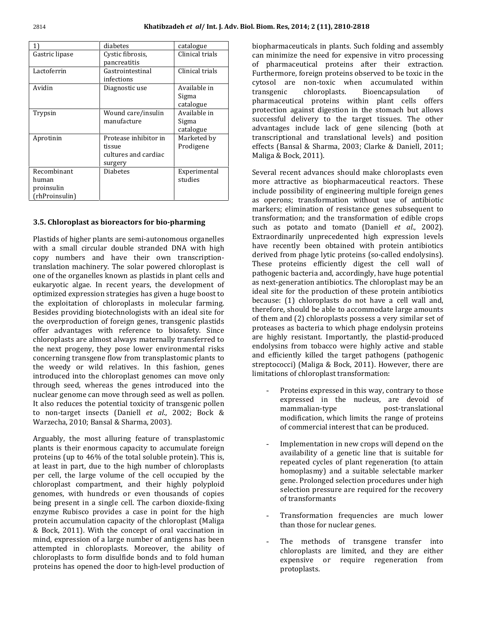| 1)                                                   | diabetes                                                           | catalogue                          |
|------------------------------------------------------|--------------------------------------------------------------------|------------------------------------|
| Gastric lipase                                       | Cystic fibrosis,<br>pancreatitis                                   | Clinical trials                    |
| Lactoferrin                                          | Gastrointestinal<br>infections                                     | Clinical trials                    |
| Avidin                                               | Diagnostic use                                                     | Available in<br>Sigma<br>catalogue |
| Trypsin                                              | Wound care/insulin<br>manufacture                                  | Available in<br>Sigma<br>catalogue |
| Aprotinin                                            | Protease inhibitor in<br>tissue<br>cultures and cardiac<br>surgery | Marketed by<br>Prodigene           |
| Recombinant<br>human<br>proinsulin<br>(rhProinsulin) | <b>Diabetes</b>                                                    | Experimental<br>studies            |

# or<mark>oplast as bioreactors for bio-pharming</mark><br>of higher plants are semi-autonomous organelles

**hloroplast as bioreactors for bio-pharming**<br>ds of higher plants are semi-autonomous organelles<br>a small circular double stranded DNA with high Plastids of higher plants are semi-autonomous organelles<br>with a small circular double stranded DNA with high<br>copy numbers and have their own transcriptionmation plants are semi-autonomous organelles<br>ill circular double stranded DNA with high<br>bers and have their own transcription-<br>machinery. The solar powered chloroplast is with a small circular double stranded DNA with high a small circular double stranded DNA with high<br>  $\alpha$  numbers and have their own transcription-<br>
slation machinery. The solar powered chloroplast is<br>
of the organelles known as plastids in plant cells and copy numbers and have their own transcription-<br>translation machinery. The solar powered chloroplast is<br>one of the organelles known as plastids in plant cells and<br>eukaryotic algae. In recent years, the development of translation machinery. The solar powered chloroplast is representing in machinery. The solar powered chloroplast is<br>organelles known as plastids in plant cells and<br>algae. In recent years, the development of<br>expression strategies has given a huge boost to one of the organelles known as plastids in plant cells and one of the organelles known as plastids in plant cells and eukaryotic algae. In recent years, the development of optimized expression strategies has given a huge boost to the exploitation of chloroplasts in molecular farmi tic algae. In recent years, the development of<br>ed expression strategies has given a huge boost to<br>loitation of chloroplasts in molecular farming.<br>providing biotechnologists with an ideal site for optimized expression strategies has given a huge boost to mized expression strategies has given a huge boost to<br>exploitation of chloroplasts in molecular farming.<br>des providing biotechnologists with an ideal site for<br>overproduction of foreign genes, transgenic plastids the exploitation of chloroplasts in molecular farming. ploitation of chloroplasts in molecular farming.<br>s providing biotechnologists with an ideal site for<br>erproduction of foreign genes, transgenic plastids<br>advantages with reference to biosafety. Since Besides providing biotechnologists with an ideal site for<br>the overproduction of foreign genes, transgenic plastids<br>offer advantages with reference to biosafety. Since<br>chloroplasts are almost always maternally transferred t the overproduction of foreign genes, transgenic plastids<br>offer advantages with reference to biosafety. Since<br>chloroplasts are almost always maternally transferred to<br>the next progeny, they pose lower environmental risks % offer advantages with reference to biosafety. Since<br>chloroplasts are almost always maternally transferred to<br>the next progeny, they pose lower environmental risks<br>concerning transgene flow from transplastomic plants to chloroplasts are almost always maternally transferred to roplasts are almost always maternally transferred to<br>next progeny, they pose lower environmental risks<br>erning transgene flow from transplastomic plants to<br>weedy or wild relatives. In this fashion, genes the next p ogeny, they pose lower environmental risks<br>transgene flow from transplastomic plants to<br>or wild relatives. In this fashion, genes<br>into the chloroplast genomes can move only concerning transgene flow from transplastomic plants to ng transgene flow from transplastomic plants to<br>dy or wild relatives. In this fashion, genes<br>ed into the chloroplast genomes can move only<br>seed, whereas the genes introduced into the the we the weedy or wild relatives. In this fashion, genes<br>introduced into the chloroplast genomes can move only<br>through seed, whereas the genes introduced into the<br>nuclear genome can move through seed as well as pollen. troduced into the chloroplast genomes can move only<br>rough seed, whereas the genes introduced into the<br>iclear genome can move through seed as well as pollen.<br>also reduces the potential toxicity of transgenic pollen through seed, whereas the genes introduced into the<br>nuclear genome can move through seed as well as pollen.<br>It also reduces the potential toxicity of transgenic pollen<br>to non-target insects (Daniell *et al.*, 2002; Bock & nuclear genome can move through seed as well as pollen. It also reduces the potential toxicity of transgenic pollen to non-target insects (Daniell et al., 2002; Bock  $&$ Warzecha, 2010; Bansal & Sharma, 2003). proteins

cha, 2010; Bansal & Sharma, 2003).<br>Ily, the most alluring feature of transplastomic<br>is their enormous capacity to accumulate foreign Arguably, the most alluring feature of transplastomic<br>plants is their enormous capacity to accumulate foreign<br>proteins (up to 46% of the total soluble protein). This is, guably, the most alluring feature of transplastomic<br>ints is their enormous capacity to accumulate foreign<br>oteins (up to 46% of the total soluble protein). This is,<br>least in part, due to the high number of chloroplasts plants is their enormous capacity to accumulate foreign ts is their enormous capacity to accumulate foreign<br>eins (up to 46% of the total soluble protein). This is,<br>ast in part, due to the high number of chloroplasts<br>cell, the large volume of the cell occupied by the proteins (u to 46% of the total soluble protein). This is,<br>art, due to the high number of chloroplasts<br>large volume of the cell occupied by the<br>compartment, and their highly polyploid at least in part, due to the high number of chloroplasts<br>he large volume of the cell occupied by the<br>t compartment, and their highly polyploid<br>with hundreds or even thousands of copies per cell, the large volume of the cell occupied by the chloroplast compartment, and their highly polyploid genomes, with hundreds or even thousands of copies being present in a single cell. The carbon dioxide-fixing chloroplast compartment, and their highly polyploid ast compartment, and their highly polyploid<br>, with hundreds or even thousands of copies<br>esent in a single cell. The carbon dioxide-fixing<br>Rubisco provides a case in point for the high genomes, with hundreds or even thousands of copies s, with hundreds or even thousands of copies<br>resent in a single cell. The carbon dioxide-fixing<br>Rubisco provides a case in point for the high<br>accumulation capacity of the chloroplast (Maliga being present in a single cell. The carbon dioxide-fixing<br>enzyme Rubisco provides a case in point for the high<br>protein accumulation capacity of the chloroplast (Maliga<br>& Bock, 2011). With the concept of oral vaccination in enzyme Rubisco provides a case in point for the high e Rubisco provides a case in point for the high<br>n accumulation capacity of the chloroplast (Maliga<br>k, 2011). With the concept of oral vaccination in<br>expression of a large number of antigens has been protein accumulation capacity of the chloroplast (Maliga imulation capacity of the chloroplast (Maliga<br>11). With the concept of oral vaccination in<br>ssion of a large number of antigens has been<br>in chloroplasts. Moreover, the ability of & Bock, 201 1). With the concept of oral vaccination in<br>sion of a large number of antigens has been<br>n chloroplasts. Moreover, the ability of<br>to form disulfide bonds and to fold human mind, ex pression of a large number of antigens has been<br>d in chloroplasts. Moreover, the ability of<br>sts to form disulfide bonds and to fold human<br>has opened the door to high-level production of

11), 2810-2818<br>in plants. Such folding and assembly **m. Res, 2014; 2 (11), 2810-2818<br>harmaceuticals in plants. Such folding and assembly<br>minimize the need for expensive in vitro processing** biopharmaceuticals in plants. Such folding and assembly<br>can minimize the need for expensive in vitro processing<br>of pharmaceutical proteins after their extraction. foreign plants. Such folding and assembly<br>the need for expensive in vitro processing<br>utical proteins after their extraction.<br>foreign proteins observed to be toxic in the can minimize the need for expensive in vitro processing mize the need for expensive in vitro processing<br>naceutical proteins after their extraction.<br>ore, foreign proteins observed to be toxic in the<br>are non-toxic when accumulated within of pharm tical proteins after their extraction.<br>
breign proteins observed to be toxic in the<br>
non-toxic when accumulated within<br>
chloroplasts. Bioencapsulation of Furthermore, foreign proteins observed to be toxic in the ign proteins observed to be toxic in the<br>n-toxic when accumulated within<br>loroplasts. Bioencapsulation of<br>proteins within plant cells offers cytosol are non-toxic when accumulated within<br>transgenic chloroplasts. Bioencapsulation of<br>pharmaceutical proteins within plant cells offers<br>protection against digestion in the stomach but allows transgenic chloroplasts. Bioencapsulation of<br>ical proteins within plant cells offers<br>against digestion in the stomach but allows<br>delivery to the target tissues. The other pharmaceutical proteins within plant cells offers cal proteins within plant cells offers<br>gainst digestion in the stomach but allows<br>elivery to the target tissues. The other<br>include lack of gene silencing (both at protection aga ist digestion in the stomach but allows<br>very to the target tissues. The other<br>ude lack of gene silencing (both at<br>and translational levels) and position successful delivery to the target tissues. The other<br>advantages include lack of gene silencing (both at<br>transcriptional and translational levels) and position<br>effects (Bansal & Sharma, 2003; Clarke & Daniell, 2011; advantages include lacl<br>transcriptional and tran<br>effects (Bansal & Sharma<br>Maliga & Bock, 2011). transcriptional and translational levels) and position<br>effects (Bansal & Sharma, 2003; Clarke & Daniell, 2011; Maliga & Bock, 2011). include

& Bock, 2011).<br>I recent advances should make chloroplasts even<br>attractive as biopharmaceutical reactors. These possibility of engineers the universement advances should make chloroplasts even<br>tiractive as biopharmaceutical reactors. These<br>possibility of engineering multiple foreign genes Several recent advances should make chloroplasts even eral recent advances should make chloroplasts even<br>re attractive as biopharmaceutical reactors. These<br>ude possibility of engineering multiple foreign genes<br>operons: transformation without use of antibiotic more attractive as biopharmaceutical reactors. These<br>include possibility of engineering multiple foreign genes<br>as operons; transformation without use of antibiotic<br>markers; elimination of resistance genes subsequent to include possibility of engineering multiple foreign genes ty of engineering multiple foreign genes<br>nsformation without use of antibiotic<br>ation of resistance genes subsequent to<br>and the transformation of edible crops as operons; transformation without use of antibiotic as operons; transformation without use of antibiotic<br>markers; elimination of resistance genes subsequent to<br>transformation; and the transformation of edible crops<br>such as potato and tomato (Daniell *et al.*, 2002). nation of resistance genes subsequent to<br>and the transformation of edible crops<br>and tomato (Daniell *et al.*, 2002).<br>unprecedented high expression levels transformation; and the transformation of edible crops ormation; and the transformation of edible crops<br>as potato and tomato (Daniell *et al.*, 2002).<br>prodinarily unprecedented high expression levels<br>recently been obtained with protein antibiotics such as potato and tomato (Daniell *et al.*, 2002).<br>Extraordinarily unprecedented high expression levels<br>have recently been obtained with protein antibiotics<br>derived from phage lytic proteins (so-called endolysins). dinarily unprecedented high expression levels<br>cently been obtained with protein antibiotics<br>from phage lytic proteins (so-called endolysins).<br>proteins efficiently digest the cell wall of have recer tly been obtained with protein antibiotics<br>m phage lytic proteins (so-called endolysins).<br>teins efficiently digest the cell wall of<br>bacteria and, accordingly, have huge potential derived from phage lytic proteins (so-called endolysins). rived from phage lytic proteins (so-called endolysins).<br>ese proteins efficiently digest the cell wall of<br>thogenic bacteria and, accordingly, have huge potential<br>next-generation antibiotics. The chloroplast may be an These proteins efficiently digest the cell wall of<br>pathogenic bacteria and, accordingly, have huge potential<br>as next-generation antibiotics. The chloroplast may be an<br>ideal site for the production of these protein antibiot pathogenic bacteria and, accordingly, have huge potential as next-generation antibiotics. The chloroplast may be an neration antibiotics. The chloroplast may be an<br>for the production of these protein antibiotics<br>1) chloroplasts do not have a cell wall and,<br>should be able to accommodate large amounts ideal site for the production of these protein antibiotics<br>because: (1) chloroplasts do not have a cell wall and,<br>therefore, should be able to accommodate large amounts<br>of them and (2) chloroplasts possess a very similar s because: (1) chloroplasts do not have a cell wall and,<br>therefore, should be able to accommodate large amounts<br>of them and (2) chloroplasts possess a very similar set of<br>proteases as bacteria to which phage endolysin protei therefore, should be able to accommodate large amounts efore, should be able to accommodate large amounts<br>lem and (2) chloroplasts possess a very similar set of<br>eases as bacteria to which phage endolysin proteins<br>highly resistant. Importantly, the plastid-produced of them and (2) chloroplasts possess a very similar set of from to complasts possess a very similar set of<br>s bacteria to which phage endolysin proteins<br>resistant. Importantly, the plastid-produced<br>from tobacco were highly active and stable pro effere as bacteria to which phage endolysin proteins<br>nighly resistant. Importantly, the plastid-produced<br>lysins from tobacco were highly active and stable<br>efficiently killed the target pathogens (pathogenic are highly resistant. Importantly, the plastid-produced sistant. Importantly, the plastid-produced<br>om tobacco were highly active and stable<br>y killed the target pathogens (pathogenic<br>(Maliga & Bock, 2011). However, there are endolysins from tobacco were highly active<br>and efficiently killed the target pathogens (<br>streptococci) (Maliga & Bock, 2011). Howeve<br>limitations of chloroplast transformation: and efficiently killed the target pathogens (pathogenic streptococci) (Maliga & Bock, 2011). However, there are limitations of chloroplast transformation: mammalian-type

- blast transformation:<br>ressed in this way, contrary to those<br>in the nucleus, are devoid of s way, contrary to those<br>leus, are devoid of<br>post-translational Proteins expi essed in this way, contrary to those<br>
in the nucleus, are devoid of<br>
ype post-translational<br>
which limits the range of proteins expressed in the nucleus, are devoid of mammalian-type post-translational post-translation modification, which limits the range of protein of commercial interest that can be produced. mammalian-type post-translational<br>modification, which limits the range of proteins of commercial interest that can be produced.
- ial interest that can be produced.<br>tion in new crops will depend on the<br>of a genetic line that is suitable for required in new crops will depend on the y of a genetic line that is suitable for cycles of plant regeneration (to attain Implementati n in new crops will depend on the<br>a genetic line that is suitable for<br>s of plant regeneration (to attain<br>and a suitable selectable marker availability of a genetic line that is suitable for bility of a genetic line that is suitable for<br>ted cycles of plant regeneration (to attain<br>plasmy) and a suitable selectable marker<br>Prolonged selection procedures under high repeated cycles of plant regeneration (to attain<br>my) and a suitable selectable marker<br>longed selection procedures under high<br>pressure are required for the recovery homoplasmy) and a su<br>gene. Prolonged selectio<br>selection pressure are r<br>of transformants gene. Prolonged selection procedures under high<br>selection pressure are required for the recovery of transformants
- nsformants<br>sformation frequencies a<br>those for nuclear genes. - Transformation frequencies are much lower<br>than those for nuclear genes.<br>- The methods of transgene transfer into than those for nuclear genes.
- muclear genes.<br>  $\begin{array}{lll} \text{is} & \text{of} & \text{transgene} & \text{transfer} & \text{into} \\ \text{are limited, and they are either} & \end{array}$ ds of transgene transfer into<br>are limited, and they are either<br>or require regeneration from The meth protoplasts.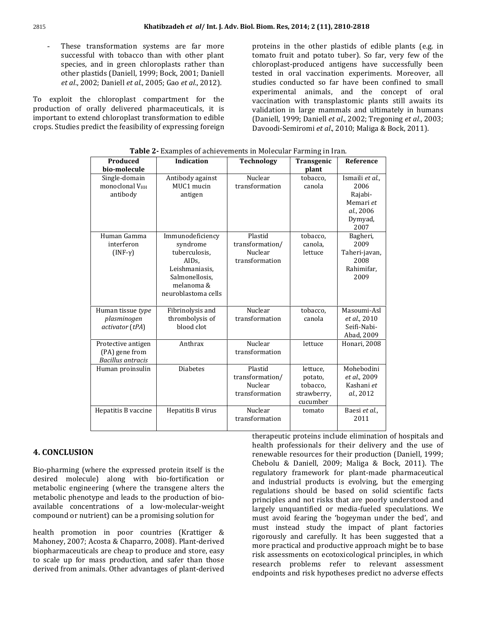Khatibzadeh *et al/* Int. J. Adv. Biol<br>- These transformation systems are far more **Khatibzadeh** *et al/* **Int. J. Adv. E**<br>Insformation systems are far more<br>With tobacco than with other plant  $\begin{array}{ccc} \text{transformation} & \text{systems} & \text{are} & \text{far} & \text{more} \\ \text{all with tabacco than with other plant} & \text{the} \\ \text{and in green chlorolasts rather than} & \text{c} \end{array}$ These species, and in green chloroplasts rather than *et*successful with tobacco than with other plant<br>species, and in green chloroplasts rather than<br>other plastids (Daniell, 1999; Bock, 2001; Daniell<br>*et al.*, 2002: Daniell *et al.*, 2005: Gao *et al.*, 2012). other plastids (Daniell, 1999; Bock, 2001; Daniell<br> *et al.*, 2002; Daniell *et al.*, 2005; Gao *et al.*, 2012).<br>
exploit the chloroplast compartment for the et al., 2002: Daniell et al., 2005: Gao et al., 2012).

godalized pharmaceuticals, 2002; Daniell *et al.*, 2005; Gao *et al.*, 2012).<br>the chloroplast compartment for the of orally delivered pharmaceuticals, it is t the chloroplast compartment for the<br>  $\alpha$  of orally delivered pharmaceuticals, it is<br>
to extend chloroplast transformation to edible To exploit the chloroplast compartment for the production of orally delivered pharmaceuticals, it is  $\frac{1}{v}$  important to extend chloroplast transformation to edible (crops. Studies predict the feasibility of expressing

in the other plastids of edible plants (e.g. in the other plastids of edible plants (e.g. in  $\,$ **ies, 2014; 2 (11), 2810-2818**<br>; in the other plastids of edible plants (e.g. in<br>fruit and potato tuber). So far, very few of the plastids of edible plants (e.g. in<br>to tuber). So far, very few of the<br>antigens have successfully been proteins in the other plastids of edible plants (e.g. in<br>tomato fruit and potato tuber). So far, very few of the<br>chloroplast-produced antigens have successfully been<br>tested in oral vaccination experiments. Moreover, all tomato fruit and potato tuber). So far, very few of the fruit and potato tuber). So far, very few of the<br>ast-produced antigens have successfully been<br>n oral vaccination experiments. Moreover, all<br>conducted so far have been confined to small chloroplast-produced antigens have successfully been duced antigens have successfully been<br>vaccination experiments. Moreover, all<br>ted so far have been confined to small<br>animals, and the concept of oral tested in oral vaccination experiments. Moreover, all<br>studies conducted so far have been confined to small<br>experimental animals, and the concept of oral<br>vaccination with transplastomic plants still awaits its studies conducted so far have been confined to small nducted so far have been confined to small<br>tal animals, and the concept of oral<br>i with transplastomic plants still awaits its<br>in large mammals and ultimately in humans experim ental animals, and the concept of oral<br>on with transplastomic plants still awaits its<br>in in large mammals and ultimately in humans<br>1999: Daniell *et al.*, 2002: Tregoning *et al.*, 2003; vaccination with transplastomic plants still awaits its of the vaccination with transplastomic plants still awaits it<br>
red pharmaceuticals, it is validation in large mammals and ultimately in human<br>
ast transformation to edible (Daniell, 1999; Daniell *et al.*, 2002; Tregoning

| Produced<br>bio-molecule                                         | <b>Indication</b>                                                                                                                            | <b>Technology</b>                                       | Transgenic<br>plant                                        | Reference                                                                       |
|------------------------------------------------------------------|----------------------------------------------------------------------------------------------------------------------------------------------|---------------------------------------------------------|------------------------------------------------------------|---------------------------------------------------------------------------------|
| Single-domain<br><b>monoclonal VHH</b><br>antibody               | Antibody against<br>MUC1 mucin<br>antigen                                                                                                    | Nuclear<br>transformation                               | tobacco,<br>canola                                         | Ismaili et al.,<br>2006<br>Rajabi-<br>Memari et<br>al., 2006<br>Dymyad,<br>2007 |
| Human Gamma<br>interferon<br>$(INF-\gamma)$                      | Immunodeficiency<br>syndrome<br>tuberculosis,<br>AID <sub>s</sub> ,<br>Leishmaniasis,<br>Salmonellosis,<br>melanoma &<br>neuroblastoma cells | Plastid<br>transformation/<br>Nuclear<br>transformation | tobacco,<br>canola,<br>lettuce                             | Bagheri,<br>2009<br>Taheri-javan,<br>2008<br>Rahimifar,<br>2009                 |
| Human tissue type<br>plasminogen<br>activator (tPA)              | Fibrinolysis and<br>thrombolysis of<br>blood clot                                                                                            | Nuclear<br>transformation                               | tobacco,<br>canola                                         | Masoumi-Asl<br>et al., 2010<br>Seifi-Nabi-<br>Abad, 2009                        |
| Protective antigen<br>(PA) gene from<br><b>Bacillus</b> antracis | Anthrax                                                                                                                                      | Nuclear<br>transformation                               | lettuce                                                    | Honari, 2008                                                                    |
| Human proinsulin                                                 | <b>Diabetes</b>                                                                                                                              | Plastid<br>transformation/<br>Nuclear<br>transformation | lettuce.<br>potato,<br>tobacco.<br>strawberry,<br>cucumber | Mohebodini<br>et al., 2009<br>Kashani et<br>al., 2012                           |
| Hepatitis B vaccine                                              | Hepatitis B virus                                                                                                                            | Nuclear<br>transformation                               | tomato                                                     | Baesi et al.,<br>2011                                                           |

*Lamen, 1999; Damen et al., 200.*<br>
2010; The feasibility of expressing foreign Davoodi-Semiromi et al., 2010; M<br> **2-** Examples of achievements in Molecular Farming in Iran.

**4. CONCLUSION**<br>Bio-pharming (where the expressed protein itself is the  $L$ **USION**<br>ning (where the expressed protein itself is the<br>molecule) along with bio-fortification or ing (where the expressed protein itself is the<br>nolecule) along with bio-fortification or<br>engineering (where the transgene alters the Bio-pharming (where the expressed protein itself is the<br>desired molecule) along with bio-fortification or<br>metabolic engineering (where the transgene alters the<br>metabolic phenotype and leads to the production of bionolecule) along with bio-fortification or<br>engineering (where the transgene alters the<br>phenotype and leads to the production of bio-<br>concentrations of a low-molecular-weight metabolic engineering (where the transgene alters the<br>phenotype and leads to the production of bio-<br>concentrations of a low-molecular-weight<br>or nutrient) can be a promising solution for available concentrations of a low-molecular-weight larger approach a low-molecular-weight larger and the compound or nutrient) can be a promising solution for the munities (Krattiger & compound or nutrient) can be a promising solution for biopharmaceuticals

 $\begin{array}{ccc} \text{1 or nutrient) can be a promising solution for} & \begin{array}{ccc} \text{n} & \text{2007:} \\ \text{n} & \text{3007:} \\ \text{2007: Acosta & Chaparro. 2008.} \end{array} & \begin{array}{ccc} \text{2008:} \\ \text{2007:} \\ \text{3007:} \\ \text{3007:} \\ \text{4007:} \\ \text{5008:} \\ \text{5008:} \\ \text{6009:} \\ \text{7009:} \\ \text{8009:} \\ \text{9009:} \\ \text{1000:} \\ \text{1$ in poor countries (Krattiger &<br>sta & Chaparro, 2008). Plant-derived<br>are cheap to produce and store, easy health promotion in poor countries (Krattiger & alth promotion in poor countries (Krattiger &<br>honey, 2007; Acosta & Chaparro, 2008). Plant-derived<br>pharmaceuticals are cheap to produce and store, easy<br>scale up for mass production, and safer than those Mahoney, 2007; Acosta & Chaparro, 2008). Plant-derived<br>biopharmaceuticals are cheap to produce and store, easy<br>to scale up for mass production, and safer than those<br>derived from animals. Other advantages of plant-derived

n 2011<br>
professionals for their delivery and the use of<br>
utic professionals for their delivery and the use of  $\begin{tabular}{l|l} \hline \textbf{1} & \textbf{2} & \textbf{3} & \textbf{4} \\ \hline \textbf{1} & \textbf{2} & \textbf{3} & \textbf{5} & \textbf{6} & \textbf{7} \\ \textbf{1} & \textbf{3} & \textbf{4} & \textbf{5} & \textbf{7} & \textbf{8} \\ \textbf{1} & \textbf{4} & \textbf{5} & \textbf{6} & \textbf{7} & \textbf{7} & \textbf{8} \\ \textbf{1} & \textbf{5} & \textbf{6} & \textbf{7} & \textbf{7} & \textbf{7} & \$ theraper tic proteins include elimination of hospitals and<br>ofessionals for their delivery and the use of<br>e resources for their production (Daniell, 1999;<br>& Daniell, 2009; Maliga & Bock, 2011). The health professionals for their delivery and the use of<br>renewable resources for their production (Daniell, 1999;<br>Chebolu & Daniell, 2009; Maliga & Bock, 2011). The<br>regulatory framework for plant-made pharmaceutical renewable resources for their production (Daniell, 1999; wable resources for their production (Daniell, 1999;<br>olu & Daniell, 2009; Maliga & Bock, 2011). The<br>atory framework for plant-made pharmaceutical<br>industrial products is evolving, but the emerging Chebolu & Daniell, 2009; Maliga & Bock, 2011). The<br>ramework for plant-made pharmaceutical<br>al products is evolving, but the emerging<br>should be based on solid scientific facts regulatory framework for plant-made pharmaceutical framework for plant-made pharmaceutical<br>trial products is evolving, but the emerging<br>s should be based on solid scientific facts<br>and not risks that are poorly understood and and industrial products is evolving, but the emerging<br>regulations should be based on solid scientific facts<br>principles and not risks that are poorly understood and<br>largely unquantified or media-fueled speculations. We regulations should be based on solid scientific facts<br>principles and not risks that are poorly understood and<br>largely unquantified or media-fueled speculations. We<br>must avoid fearing the 'bogeyman under the bed', and principles and not risks that are poorly understood and les and not risks that are poorly understood and<br>unquantified or media-fueled speculations. We<br>void fearing the 'bogeyman under the bed', and<br>instead study the impact of plant factories largely unquantified or media-fueled speculations. We quantified or media-fueled speculations. We<br>fearing the 'bogeyman under the bed', and<br>aad study the impact of plant factories<br>and carefully. It has been suggested that a must avoid fearing the 'bogeyman under the bed', and<br>instead study the impact of plant factories<br>susly and carefully. It has been suggested that a<br>practical and productive approach might be to base mus t instead study the impact of plant factories<br>rously and carefully. It has been suggested that a<br>e-practical and productive approach might be to base<br>assessments on ecotoxicological principles, in which rigorous and carefully. It has been suggested that a<br>ical and productive approach might be to base<br>ments on ecotoxicological principles, in which<br>problems refer to relevant assessment more practical and productive approach might be to base tical and productive approach might be to base<br>ments on ecotoxicological principles, in which<br>problems refer to relevant assessment<br>and risk hypotheses predict no adverse effects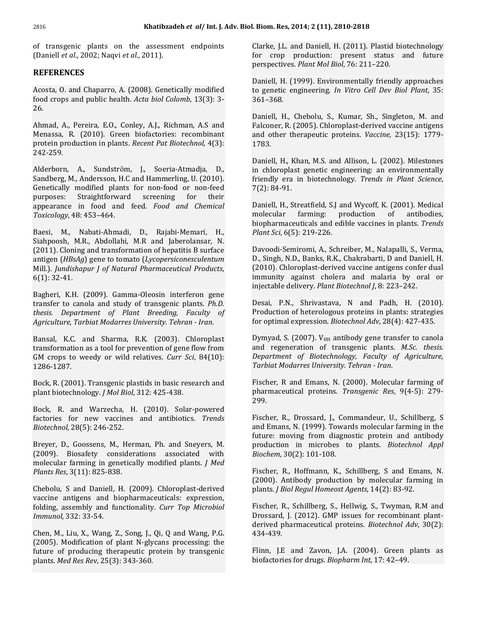Khatibzadeh *et al/* Int. J. Adv. Bion<br>transgenic plants on the assessment endpoints *et al*., 2002; Naqvi *et al.*, 2011). **REFERENCES**Acosta,

### **REFERENCES**

**ENCES**<br>  $\begin{bmatrix}\n0. & \text{and Chaparro. A. (2008). Genetically modified\n\end{bmatrix}$ **REFERENCES**<br>Acosta, O. and Chaparro, A. (2008). Genetically modified<br>food crops and public health. *Acta biol Colomb*, 13(3): 3-Food crops and public health. *Acta biol Colomb*, 13(3): 3-<br>26.<br>Ahmad, A., Pereira, E.O., Conley, A.I., Richman, A.S and 26.

Ahmad, A., Pereira, E.O., Conley, A.J., Richman, A.S and Menassa, R. (2010). Green biofactories: recombinant protein production in plants. *Recent Pat Biotechnol*, 4(3):<br>242-259.<br>Alderborn. A., Sundström. I., Soeria-Atmadia, D.,

242-259.<br>Alderborn, A., Sundström, J., Soeria-Atmadja, D.,<br>Sandberg M. Andersson H.C and Hammerling U. (2010). E<br>
A., Sundström, J., Soeria-Atmadja, D., ii<br>
1., Andersson, H.C and Hammerling, U. (2010). fi<br>
modified plants for non-food or non-feed Alderborr A., Sundström, J., Soeria-Atmadja, D.,<br>Andersson, H.C and Hammerling, U. (2010).<br>nodified plants for non-food or non-feed<br>Straightforward screening for their Sandberg, M., Andersson, H.C and Hammerling, U. (2010). Andersson, H.C and Hammerling, U. (2010).<br> **Andersky** and *Chemical*<br>
Straightforward screening for their<br>
in food and feed. *Food and Chemical* Genetically purposes: Straightforward screening for<br>appearance in food and feed. *Food and Ch*<br>Toxicology, 48: 453–464. appearance in food and feed. Food and Chemical

Toxicology, 48: 453–464.<br>Baesi, M., Nabati-Ahmadi, D., Rajabi-Memari, H.,<br>Siahpoosh. M.R.. Abdollahi. M.R and Iaberolansar. N. M., Nabati-Ahmadi, D., Rajabi-Memari, H.,<br>sh, M.R., Abdollahi, M.R and Jaberolansar, N.<br>Cloning and transformation of hepatitis B surface Baesi, M., Nabati-Ahmadi, D., Rajabi-Memari, H., *Plant* Siahpoosh, M.R., Abdollahi, M.R and Jaberolansar, N. (2011). Cloning and transformation of hepatitis B surface Davo antigen (*HBsAg*) gene to tomato (*Lycopersicones* Siahpoosh, M.R., Abdollahi, M.R and Jaberolansar, N. *Jundithapura 1. Abdollahi, M.R. and Jaberolansar, N.* (2011). Cloning and transformation of hepatitis B surface antigen (*HBsAg*) gene to tomato (*Lycopersiconesculentum* Mill.). *Jundishapur I of Natural Pharmaceutical P* (2011). Cloning<br>antigen (*HBsAg*<br>Mill.). *Jundishaj*<br>6(1): 32-41.  $6(1)$ : 32-41.

to canonical and study of the captain of the captain of transfer to canola and study of transgenic plants. *Ph.D.* **there** is a study of transgenic plants. *Ph.D.*  $\blacksquare$ *transfer to canola and study of transgenic plants. Ph.D.* Bagheri, K. *Tagheri, K.H. (2009). Gamma-Oleosin interferon gene*<br>*Transfer to canola and study of transgenic plants. Ph.D.*<br>*thesis. Department of Plant Breeding, Faculty of*<br>*Aariculture. Tarbiat Modarres University. Tehran - Iran.* )epartment of Plant Breeding, Faculty of<br>re, Tarbiat Modarres University. Tehran - Iran.<br>K.C. and Sharma. R.K. (2003). Chloroplast Agriculture, Tarbiat Modarres University. Tehran - Iran.  $\overline{a}$ 

biat Modarres University. Tehran - Iran. for op<br>nd Sharma, R.K. (2003). Chloroplast Dymy<br>as a tool for prevention of gene flow from and Example 18 and Sharma, R.K. (2003). Chloroplast<br>transformation as a tool for prevention of gene flow from<br>**CM** crops to weedy or wild relatives. *Curr Sci*, 84(10): GM crops to weedy or wild relatives. *Curr Sci*, 84(10):  $L$ <br>1286-1287. The process of the plastids in basic research and F 1286-1287.

1286-1287.<br>Bock, R. (2001). Transgenic plastids in basic rese<br>plant biotechnology. *J Mol Biol*. 312: 425-438. EXTE: (2001). Transgenic plastids in basic research and<br>iotechnology. *J Mol Biol*, 312: 425-438.<br>R. and Warzecha. H. (2010). Solar-powered plant biotechnology. *J Mol Biol*, 312: 425-438. *Biotechnol*,

Bock, R. and Warzecha, H. (2010). Solar-powered 28<br>28 Bock, R. and Warzecha, H<br>factories for new vaccines<br>Biotechnol 28(5): 246-252. factories for new vaccines and antibiotics. *Trends Biotechnol*, 28(5): 246-252.<br>Brever. D., Goossens, M., Herman, Ph. and Snevers, M.

a (28(5): 246-252.<br>Biosafety considerations associated with the discrete<br>Biosafety considerations associated with the t farming in Goossens, M., Herman, Ph. and Sneyers, M.<br>*Joosafety considerations associated with*<br>*Joosafety considerations associated with* Breyer, D., Goossens, M., Herman, Ph. and Sneyers, M. *Resper, D., Goossens, M., Her* (2009). Biosafety consider molecular farming in genetical *Plants Res.* 3(11): 825-838. (2009). Biosafety considerations associated with *Biochem*, 30(2): 101-108. molecular farming in genetically modified plants. *J Med* Plants Res, 3(11): 825-838.

Plants Res, 3(11):  $825-838$ .<br>Chebolu, S and Daniell, H. (2009). Chloroplast-derived<br>vaccine antigens and biopharmaceuticals: expression. assembly and functionality. **Challenger** and biopharmaceuticals: expression, assembly and functionality. *Curr Top Microbiol Inebolu, S and Daniell,*<br>vaccine antigens and l<br>*Immunol.* 332: 33-54. vaccine antigens and biopharmaceuticals: expression, folding, assembly and functionality. Curr Top Microbiol Immunol, 332: 33-54.

l, 332: 33-54.<br>., Liu, X., Wang, Z., Song, J., Qi, Q and Wang, P.G.<br>Modification of plant N-glycans processing: the  $M$ ., Liu, X., Wang, Z., Song, J., Qi, Q and Wang, P.G.<br>Modification of plant N-glycans processing: the<br>of producing therapeutic protein by transgenic Chen, M., Liu, X., Wang, Z., Song, J., Qi, (2005). Modification of plant N-glycan future of producing therapeutic prote<br>plants. *Med Res Rev.* 25(3): 343-360.

Res, 2014; 2 (11), 2810-2818<br>L.L. and Daniell. H. (2011). Plastid biotechnology n. Res, 2014; 2 (11), 2810-2818<br>e, J.L. and Daniell, H. (2011). Plastid biotechnology<br>crop production: present status and future *Plante, J.L. and Daniell, H. (2011). Plastid bi*<br>*for crop production: present status*<br>perspectives. *Plant Mol Biol. 76: 211–220.* for crop production: present status and future perspectives. Plant Mol Biol, 76: 211-220.

Daniell, H. (1999). Environmentally friendly approaches to genetic engineering. *In Vitro Cell Dev Biol Plant,* 35:<br>361–368.<br>Daniell, H., Chebolu, S., Kumar, Sh., Singleton, M. and  $361 - 368$ .

render of the Source of Source and S.<br>K. (2005). Chloroplast-derived vaccine antigens<br>R. (2005). Chloroplast-derived vaccine antigens Daniell, H., Chebolu, S., Kumar, Sh., Singleton, M. and<br>Falconer, R. (2005). Chloroplast-derived vaccine antigens<br>and other therapeutic proteins. *Vaccine*. 23(15): 1779and other therapeutic proteins. *Vaccine*, 23(15): 1779-<br>1783.<br>Daniell. H., Khan, M.S. and Allison, L. (2002). Milestones 1783. friendly

33.<br>niell, H., Khan, M.S. and Allison, L. (2002). Milestones<br>chloroplast genetic engineering: an environmentally Daniell, H., Khan, M.S. and Allison, L. (2002). Milestones<br>in chloroplast genetic engineering: an environmentally<br>friendly era in biotechnology. *Trends in Plant Science*. Daniell, H., Kha<br>in chloroplast<br>friendly era in<br>7(2): 84-91. in chloroplast genetic engineering: an environmentally friendly era in biotechnology. Trends in Plant Science,  $7(2): 84-91.$ 

 $f(2): 84-91.$ <br>Daniell, H., Streatfield, S.J and Wycoff, K. (2001). Medical<br>molecular farming: production of antibodies. d, S.J and Wycoff, K. (2001). Medical<br>g: production of antibodies,<br>and edible vaccines in plants. *Trends* **Paniell, H., Streatfield, S.J a<br>
<b>molecular** farming: p<br>
biopharmaceuticals and edi<br> *Plant Sci*, 6(5): 219-226. molecular farming: production of antibodies,<br>biopharmaceuticals and edible vaccines in plants. Trends<br>Plant Sci, 6(5): 219-226.

Mill.). Jundishapur J of Natural Pharmaceutical Products, (2010). Chloroplast-derived vaccine antigens confer dual<br>6(1): 32-41. **Sammunity** against cholera and malaria by oral or<br>injectable delivery. *Plant Biotechnol J*, Plant Sci, 6(5): 219-226.<br>Davoodi-Semiromi, A., Schreiber, M., Nalapalli, S., Verma,<br>D., Singh, N.D., Banks, R.K., Chakrabarti, D and Daniell, H. .<br>-Semiromi, A., Schreiber, M., Nalapalli, S., Verma,<br>1, N.D., Banks, R.K., Chakrabarti, D and Daniell, H.<br>Chloronlast-derived vaccine antigens confer dual Davoodi-Semiromi, A., Schreiber, M., Nalapalli, S., Verma,<br>D., Singh, N.D., Banks, R.K., Chakrabarti, D and Daniell, H.<br>(2010). Chloroplast-derived vaccine antigens confer dual<br>immunity against cholera and malaria by oral D., Singh, N.D., Banks, R.K., Chakrabarti, D and Daniell, H. D., Singh, N.D., Banks, R.K., Chakrabarti, D and Danie<br>(2010). Chloroplast-derived vaccine antigens confer<br>immunity against cholera and malaria by oral<br>injectable delivery. *Plant Biotechnol I*. 8: 223–242. immunity against cholera and malaria by oral or<br>injectable\_delivery. *Plant Biotechnol J*, 8: 223–242.<br>Desai. P.N.. Shrivastava. N and Padh. H. (2010). for

Desai, P.N., Shrivastava, N and Padh, H. (2010). optimal expression. *Biotecai, P.N.*, Shrivastava, N and Padh, H. (2010).<br>Production of heterologous proteins in plants: strategies<br>for optimal expression. *Biotechnol Adv.* 28(4): 427-435. S. (2007). V<sub>HH</sub> antibody gene transfer to canola<br>S. (2007). V<sub>HH</sub> antibody gene transfer to canola for optimal expression. Biotechnol Adv, 28(4): 427-435.

for optimal expression. *Biotechnol Adv*, 28(4): 427-435.<br>Dymyad, S. (2007). V<sub>HH</sub> antibody gene transfer to canola<br>and regeneration of transgenic plants. *M.Sc. thesis. offaure 1.5 Compaign 3. Cymyad, S. (2007). V*<sub>HH</sub> antibody gene transfer to canola and regeneration of transgenic plants. *M.Sc. thesis. Department of Biotechnology. Faculty of Agriculture. Dymyad, S. (2007). V<sub>HH</sub>* antibody gene transferred and regeneration of transgenic plants. *N Department of Biotechnology, Faculty of Tarbiat Modarres University. Tehran - Iran.* and regeneration of transgenic plants. M.Sc. thesis.<br>Department of Biotechnology, Faculty of Agriculture, Tarbiat Modarres University. Tehran - Iran.

Fischer, R and Emans, N. (2000). Molecular farming of pharmaceutical proteins. *Transgenic Res,* 9(4-5): 279-<br>299.<br>Fischer, R., Drossard, I., Commandeur, U., Schillberg, S 299.

emans, N. (1999). Tommandeur, U., Schillberg, S.<br>Emans, N. (1999). Towards molecular farming in the R., Drossard, J., Commandeur, U., Schillberg, S<br>ans, N. (1999). Towards molecular farming in the<br>moving from diagnostic protein and antibody Fischer, R. Frossard, J., Commandeur, U., Schillberg, S.<br>*Bioneral France Commandeur farming in the ng from diagnostic protein and antibody***<br>in microbes to plants.** *Biotechnol Appl* and Ema and Emans, N. (1999). Towa<br>future: moving from diagn<br>production in microbes t<br>*Biochem*. 30(2): 101-108. production in microbes to plants. *Biotechnol Appl*<br>*Biochem*, 30(2): 101-108.<br>Fischer, R., Hoffmann, K., Schillberg, S and Emans, N.

Fischer, R., Hoffmann, K., Schillberg, S and Emans, N. *Fischer, R., Hoffmann, K., Schillberg, S and Emar (2000). Antibody production by molecular farming plants. <i>I Biol Regul Homeost Agents*. 14(2): 83-92. Antibody production by molecular farming in<br>Biol Regul Homeost Agents, 14(2): 83-92.<br>R., Schillberg, S., Hellwig, S., Twyman, R.M and plants. J Biol Regul Homeost Agents, 14(2): 83-92.

plants. *J. Biol Regul Homeost Agents*, 14(2): 83-92.<br>Fischer, R., Schillberg, S., Hellwig, S., Twyman, R.M and<br>Drossard. I. (2012). GMP issues for recombinant plantpharmaceutical proteins. *Bischer, R., Schillberg, S., Hellwig, S., Twyman, R.M and Drossard, J. (2012). GMP issues for recombinant plant-<br>derived pharmaceutical proteins. <i>Biotechnol Adv.* 30(2): derived pharmaceutical proteins. *Biotechnol Adv*, 30(2):<br>434-439.<br>Flinn, J.E. and Zavon, J.A. (2004). Green plants as 434-439.

Flinn, J.E and Zavon, J.A. (2004). Green plants as biofactories for drugs. *Biopharm Int*, 17: 42–49.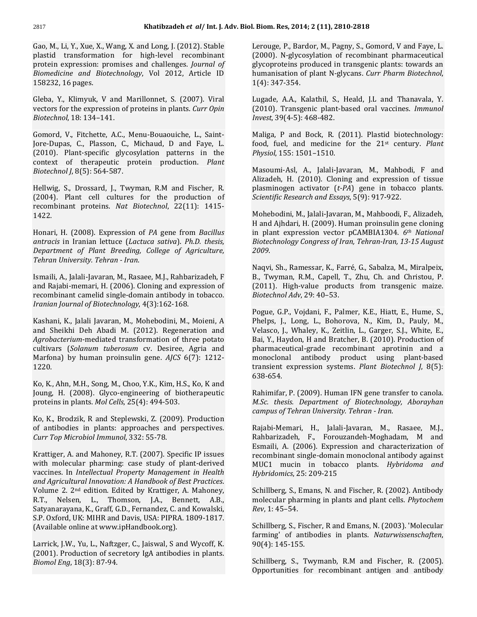Khatibzadeh *et al* / Int. J. Adv. Biol<br>M., Li, Y., Xue, X., Wang, X. and Long, J. (2012). Stable **Khatibzadeh** *et al***/ Int. J. Adv. E**<br>i, Y., Xue, X., Wang, X. and Long, J. (2012). Stable<br>transformation for high-level recombinant Li, Y., Xue, X., Wang, X. and Long, J. (2012). Stable<br>transformation for high-level recombinant<br>expression: promises and challenges. *Journal of* Gao, M., Li, Y *Xue, X., Wang, X. and Long, J. (2012). Stable* Leasformation for high-level recombinant (20<br> *and Biotechnology*, Vol 2012, Article ID hus plastid transformation for high-level recombinant plastid transformati<br>protein expression: p<br>Biomedicine and Bio<br>158232.16 pages. Biomedicine and Biotechnology, Vol 2012, Article ID 158232, 16 pages. *Biotechnol*,

for the pages.<br>For the expression of proteins in plants. *Curr Opin*<br>for the expression of proteins in plants. *Curr Opin* Gleba, Y., Klimyuk, V and<br>vectors for the expression of<br>*Biotechnol*. 18: 134–141. vectors for the expression of proteins in plants. Curr Opin Biotechnol, 18: 134-141.

Biotechnol, 18: 134–141.<br>Gomord, V., Fitchette, A.C., Menu-Bouaouiche, L., Saint-<br>Jore-Dupas. C., Plasson. C., Michaud. D and Fave. L. V., Fitchette, A.C., Menu-Bouaouiche, L., Saint-<br>as, C., Plasson, C., Michaud, D and Faye, L.<br>Plant-specific glycosylation patterns in the Gomord, V., Fitchette, A.C., Menu-Bouaouiche, L., Saint-V., Fitchette, A.C., Menu-Bouaouiche, L., Saint-<br>s, C., Plasson, C., Michaud, D and Faye, L.<br>Plant-specific glycosylation patterns in the<br>of therapeutic protein production. *Plant* **Jore-Dupas** *Jore-Dupas, C., Plasson, C., 1*<br>(2010). Plant-specific glycos<br>context of therapeutic pr<br>*Biotechnol I.* 8(5): 564-587. context of therapeutic protein production. *Plant*<br>Biotechnol J, 8(5): 564-587.<br>Hellwig. S., Drossard. I., Twyman, R.M and Fischer, R. Biotechnol J, 8(5): 564-587.

Hellwig, S., Drossard, J., Twyman, R.M and Fischer, R. (2004). Plant cell cultures for the production of recombinant proteins. *Nat Biotechnol*, 22(11): 1415-<br>1422.<br>Honari. H. (2008). Expression of *PA* gene from *Bacillus antracis*

Honari, H. (2008). Expression of PA gene from Bacillus *Honari, H. (2008). Expression of PA gene from Bacillus antracis in Iranian lettuce (Lactuca sativa). Ph.D. thesis, Department of Plant Breedina. College of Agriculture. H.* (2008). Expression of *F i* in Iranian lettuce (*Lactuce nent of Plant Breeding, Colliniversity. Tehran - Iran.* Department of Plant Breeding, College of Agriculture, A., Jalali-Javaran, M., Rasaee, M.J., Rahbarizadeh, <sup>F</sup> Tehran University. Tehran - Iran.

an University. Tehran - Iran.<br>1998).<br>Rajabi-memari. H. (2006). Cloning and expression of Ismaili, A., Jalali-Javaran, M., Rasaee, M.J., Rahbarizadeh, F<br>and Rajabi-memari, H. (2006). Cloning and expression of<br>recombinant camelid single-domain antibody in tobacco. *Ismaili, A., Jalali-Javaran, M., Rasaee, M.J., Rahbariz<br>and Rajabi-memari, H. (2006). Cloning and expres<br>recombinant camelid single-domain antibody in t<br><i>Iranian Journal of Biotechnology*. 4(3):162-168. and Rajabi-memari, H. (2006). Cloning and expression of  $(2011)$ . High-value prod recombinant camelid single-domain antibody in tobacco. *Biotechnol Adv*, 29: 40–53. Iranian Journal of Biotechnology, 4(3):162-168. *Agrobacterium*-mediated

a*n Journal of Biotechnology,* 4(3):162-168.<br>ani, K., Jalali Javaran, M., Mohebodini, M., Moieni, A<br>Sheikhi Deh Abadi M. (2012). Regeneration and V H<br>
m. M., Mohebodini, M., Moieni, A<br>
M. (2012). Regeneration and<br>
transformation of three potato Kashani, K., Jalali Javaran, M., Mohebodini, M., Moieni, A<br>and Sheikhi Deh Abadi M. (2012). Regeneration and V<br>*Agrobacterium*-mediated transformation of three potato E<br>cultivars (*Solanum tuberosum* cv. Desiree. Agria and and Sheikhi Deh Abadi M. (2012). Regeneration and<br>*Agrobacterium*-mediated transformation of three potato<br>cultivars (*Solanum tuberosum* cv. Desiree, Agria and<br>Marfona) by human proinsulin gene. *AICS* 6(7): 1212-Marfona) by human proinsulin gene.  $AJCS$  6(7): 1212-<br>1220. the state of the state of the state of the state of the state of the state of the state of the state of the state of the state of the state of the state of the st  $1220.$ 

M.<br>Ahn, M.H., Song, M., Choo, Y.K., Kim, H.S., Ko, K and<br>H. (2008). Glyco-engineering of biotherapeutic Ko, K., Ahn, M.H., Song, M., Choo, Y.K., Kim, H.S.,<br>Joung, H. (2008). Glyco-engineering of bioth<br>proteins in plants. *Mol Cells*. 25(4): 494-503. proteins in plants. Mol Cells, 25(4): 494-503.

Ko, K., Brodzik, R and Steplewski, Z. (2009). Production *Toppen Coppen Coppen Ko, K., Brodzik, R and Steplewski, Z. (2009*<br>*Toppen Indianal, 2009*<br>*Toppen Indianal, 232: 55-78.* Krattiger, 332: 55-78. dies in plants: approaches and perspectives.<br>Aicrobiol Immunol, 332: 55-78.<br>A. and Mahonev. R.T. (2007). Specific IP issues Curr vaccines.

 $\begin{array}{lll} \textit{Top Microbiol Immunol}, 332: 55\text{-}78. & \textit{F} \ \textit{ger, A. and Mahoney}, \textit{R.T. (2007)}. \textit{Specific IP issues} & \textit{r} \ \textit{molecular planning: case study of plant-derived} & \textit{N} \end{array}$ I<br>
In *Intellectual Property Management in Health*<br>
In *Intellectual Property Management in Health* **Kra** *A Ale A. and Mahoney, R.T. (2007). Specific IP issues* with molecular pharming: case study of plant-derived vaccines. In *Intellectual Property Management in Health and Aaricultural Innovation: A Handbook of Best Pr* with molecular pharming: case study of plant-derived<br>vaccines. In *Intellectual Property Management in Health*<br>*and Agricultural Innovation: A Handbook of Best Practices.*<br>Volume 2. 2<sup>nd</sup> edition. Edited by Krattiger. A. M vaccines. In *Intellectual Property Management in Health* and *Agricultural Innovation: A Handbook of Best Practices.* Volume 2.  $2^{nd}$  edition. Edited by Krattiger, A. Mahoney, R.T., Nelsen, L., Thomson, J.A., Bennett, A and Agricultural Innovation: A Handbook of Best Practices. Volume 2. 2<sup>nd</sup> edition. Edited by Krattiger, A. Mahoney,<br>R.T., Nelsen, L., Thomson, J.A., Bennett, A.B.,<br>Satyanarayana, K., Graff, G.D., Fernandez, C. and Kowalski,<br>S.P. Oxford. UK: MIHR and Davis. USA: PIPRA. 1809-1817. R.T., Nelsen, L., Thomson, J.A., Benn<br>Satyanarayana, K., Graff, G.D., Fernandez, C. and<br>S.P. Oxford, UK: MIHR and Davis, USA: PIPRA. 1<br>(Available online at www.ipHandbook.org). S.P. Oxford, UK: MIHR and Davis, USA: PIPRA. 1809-1817.<br>(Available online at www.ipHandbook.org).

(Available online at www.ipHandbook.org).<br>Larrick, J.W., Yu, L., Naftzger, C., Jaiswal, S and Wycoff, K.<br>(2001). Production of secretory IgA [antibodies](http://www.ipHandbook.org).) in plants. *Follon, Yu, L., Naftzger,*<br>*Production of secret*<br>*Eng.* 18(3): 87-94.

. <mark>Biom. Res, 2014; 2 (11), 2810-2818</mark><br>Lerouge. P., Bardor, M., Pagny, S., Gomord, V and Fave, L. es, 2014; 2 (11), 2810-2818<br>, P., Bardor, M., Pagny, S., Gomord, V and Faye, L.<br>N-glycosylation\_of\_recombinant\_pharmaceutical ardor, M., Pagny, S., Gomord, V and Faye, L.<br>cosylation of recombinant pharmaceutical<br>produced in transgenic plants: towards an Lerouge, P., B Lerouge, P., Bardor, M., Pagny, S., Gomord, V and Faye, L.<br>(2000). N-glycosylation of recombinant pharmaceutical<br>glycoproteins produced in transgenic plants: towards an<br>humanisation of plant N-glycans. *Curr Pharm Biotechn* (2000). N-glycosy<br>glycoproteins pro<br>humanisation of p<br>1(4): 347-354. humanisation of plant N-glycans. Curr Pharm Biotechnol, 1(4): 347-354. *Invest*,

T-354.<br>A.A., Kalathil, S., Heald, J.L and Thanavala, Y.<br>Transgenic plant-based oral vaccines. *Immunol* (1984)<br>Lugade, A.A., Kalathil, S., I<br>(2010). Transgenic plant-b.<br>*Invest*. 39(4-5): 468-482. (2010). Transgenic plant-based oral vaccines. *Immunol Invest*, 39(4-5): 468-482. *Physiol*,

 $f(39(4-5))$ : 468-482.<br>  $f(x) = \frac{1}{100}$ , P and Bock, R. (2011). Plastid biotechnology:<br>
fuel. and medicine for the 21<sup>st</sup> century. *Plant* Maliga, P and Bock, R. (2)<br>food, fuel, and medicine<br>Physiol. 155: 1501–1510. food, fuel, and medicine for the  $21<sup>st</sup>$  century. Plant Physiol, 155: 1501-1510. plasminogen

5: 1501–1510.<br>Asl, A., Jalali-Javaran, M., Mahbodi, F and<br>H. (2010). Cloning and expression of tissue Masoumi-Asl, A., Jalali-Javaran, M., Mahbodi, F and<br>Alizadeh, H. (2010). Cloning and expression of tissue<br>plasminogen activator (*t-PA*) gene in tobacco plants. *Masoumi-Asl, A., Jalali-Javaran, M., Mahbodi<br><i>Alizadeh, H. (2010). Cloning and expression*<br>plasminogen activator *(t-PA)* gene in tobacc<br>*Scientific Research and Essavs.* 5(9): 917-922. plasminogen activator (*t-PA*) gene in tobacco plants.<br>*Scientific Research and Essays*, 5(9): 917-922.<br>Mohebodini. M., Ialali-Iavaran, M., Mahboodi, F., Alizadeh.

i*entific Research and Essays,* 5(9): 917-922.<br>ohebodini, M., Jalali-Javaran, M., Mahboodi, F., Alizadeh,<br>and Aihdari. H. (2009). Human proinsulin gene cloning plant expression. The bodini, M., Jalali-Javaran, M., Mahboodi, F., Alizadeh,<br>ind Ajhdari, H. (2009). Human proinsulin gene cloning<br>plant expression vector pCAMBIA1304. 6<sup>*th</sup> National*</sup> *Biotechnologyican, M., Jalali-Javaran, M., Mahboodi, F., Alizadeh,*<br>*H* and Ajhdari, H. (2009). Human proinsulin gene cloning<br>in plant expression vector pCAMBIA1304. *6th National*<br>*Biotechnology Congress of Iran. Tehran-*H and Ajhdari, H. (2009). Human proinsulin gene cloning notechnology Congress of Iran, Tehran-Iran, 13-15 August<br>2009.<br>Nagvi, Sh., Ramessar, K., Farré, G., Sabalza, M., Miralpeix,

2009.<br>Naqvi, Sh., Ramessar, K., Farré, G., Sabalza, M., Miralpeix,<br>B., Twyman, R.M., Capell, T., Zhu, Ch. and Christou, P. Naqvi, Sh., Ramessar, K., Farré, G., Sabalza, M., Miralpeix,<br>B., Twyman, R.M., Capell, T., Zhu, Ch. and Christou, P.<br>(2011). High-value products from transgenic maize. Naqvi, Sh., Ramessar, K., Farr<br>B., Twyman, R.M., Capell, T.<br>(2011). High-value product<br>*Biotechnol Adv.* 29: 40–53. (2011). High-value products from transgenic maize.

Pogue, G.P., Vojdani, F., Palmer, K.E., Hiatt, E., Hume, S., Pogue, G.P., Vojdani, F., Palmer, K.E., Hiatt, E., Hume, S.,<br>Phelps, J., Long, L., Bohorova, N., Kim, D., Pauly, M.,<br>Velasco. I.. Whalev. K., Zeitlin. L., Garger. S.I., White. E., ie, G.P., Vojdani, F., Palmer, K.E., Hiatt, E., Hume, S.,<br>ps, J., Long, L., Bohorova, N., Kim, D., Pauly, M.,<br>sco, J., Whaley, K., Zeitlin, L., Garger, S.J., White, E.,<br>Y.. Havdon. H and Bratcher. B. (2010). Production of Phelps, J., Long, L., horova, N., Kim, D., Pauly, M.,<br>Zeitlin, L., Garger, S.J., White, E.,<br>Iratcher, B. (2010). Production of<br>recombinant aprotinin and a Velasco, J., Whaley, K., Zeitlin, L., Garger, S.J., White, E.,<br>Bai, Y., Haydon, H and Bratcher, B. (2010). Production of<br>pharmaceutical-grade recombinant aprotinin and a<br>monoclonal antibody product using plant-based Bai, Y., Haydon, H and Bratcher, B. (2010). Production of pharmaceutical-grade recombinant aprotinin and a monoclonal antibody product using plant-based transient expression systems. *Plant Biotechnol J,* 8(5):<br>638-654.<br>Rahimifar. P. (2009). Human IFN gene transfer to canola.

Joung, H. (2008). Glyco-engineering of biotherapeutic Rahimifar, P. (2009). Human IFN gene tran<br>proteins in plants. *Mol Cells*, 25(4): 494-503. *M.Sc. thesis. Department of Biotechnolog*<br>campus of Tehran University. Tehra 638-654.<br>Rahimifar, P. (2009). Human IFN gene transfer to canola. **France** *Rahimifar, P. (2009). Human IFN gene transfe***<br>***M.Sc. thesis. Department of Biotechnology,***<br>***Campus of Tehran University. Tehran - Iran.* M.Sc. thesis. Department of Biotechnology, Aborayhan<br>campus.of.Tehran.University.Tehran - Iran.<br>Raiabi-Memari. H., Jalali-Javaran. M., Rasaee. M.J.. Esmaili,

The University. Tehran - Iran.<br>Th., Jalali-Javaran, M., Rasaee, M.J.,<br>F., Forouzandeh-Moghadam, M. and ,<br>emari, H., Jalali-Javaran, M., Rasaee, M.J.,<br>adeh, F., Forouzandeh-Moghadam, M and<br>A. (2006). Expression-and-characterization-of Rajabi-Mema ri, H., Jalali-Javaran, M., Rasaee, M.J.,<br>1, F., Forouzandeh-Moghadam, M and<br>2006). Expression and characterization of<br>single-domain-monoclonal-antibody-against Rahbarizadeh, F., Forouzandeh-Moghadam, M and<br>Esmaili, A. (2006). Expression and characterization of<br>recombinant single-domain monoclonal antibody against<br>MUC1 mucin in tobacco plants. *Hybridoma and* Esmaili, A. (2006). Expression ar<br>*recombinant single-domain monoc*<br>*MUC1 mucin in tobacco plai<br><i>Hybridomics*. 25: 209-215 MUC1 mucin in tobacco plants. Hybridoma and<br>Hybridomics, 25: 209-215<br>Schillberg. S., Emans. N. and Fischer. R. (2002). Antibody Hybridomics, 25: 209-215 *Rev*,

pharming in plants and plants and plant cells. *Phytochem*<br>pharming in plants and plant cells. *Phytochem* -<br>Schillberg, S., Em<br>molecular pharm<br>*Rev*. 1: 45–54. molecular pharming in plants and plant cells. Phytochem  $Rev, 1: 45-54.$ 

Schillberg, S., Fischer, R and Emans, N. (2003). 'Molecular (145-1455)<br>145-145-155. Schillberg, S., Fisch<br>145-155. Schillberg, 145-155. farming' of antibodies in plants. *Naturwissenschaften,*<br>90(4): 145-155.<br>Schillberg, S., Twymanb. R.M and Fischer, R. (2005).

90(4): 145-155.<br>Schillberg, S., Twymanb, R.M and Fischer, R. (2005).<br>Opportunities for recombinant antigen and antibody